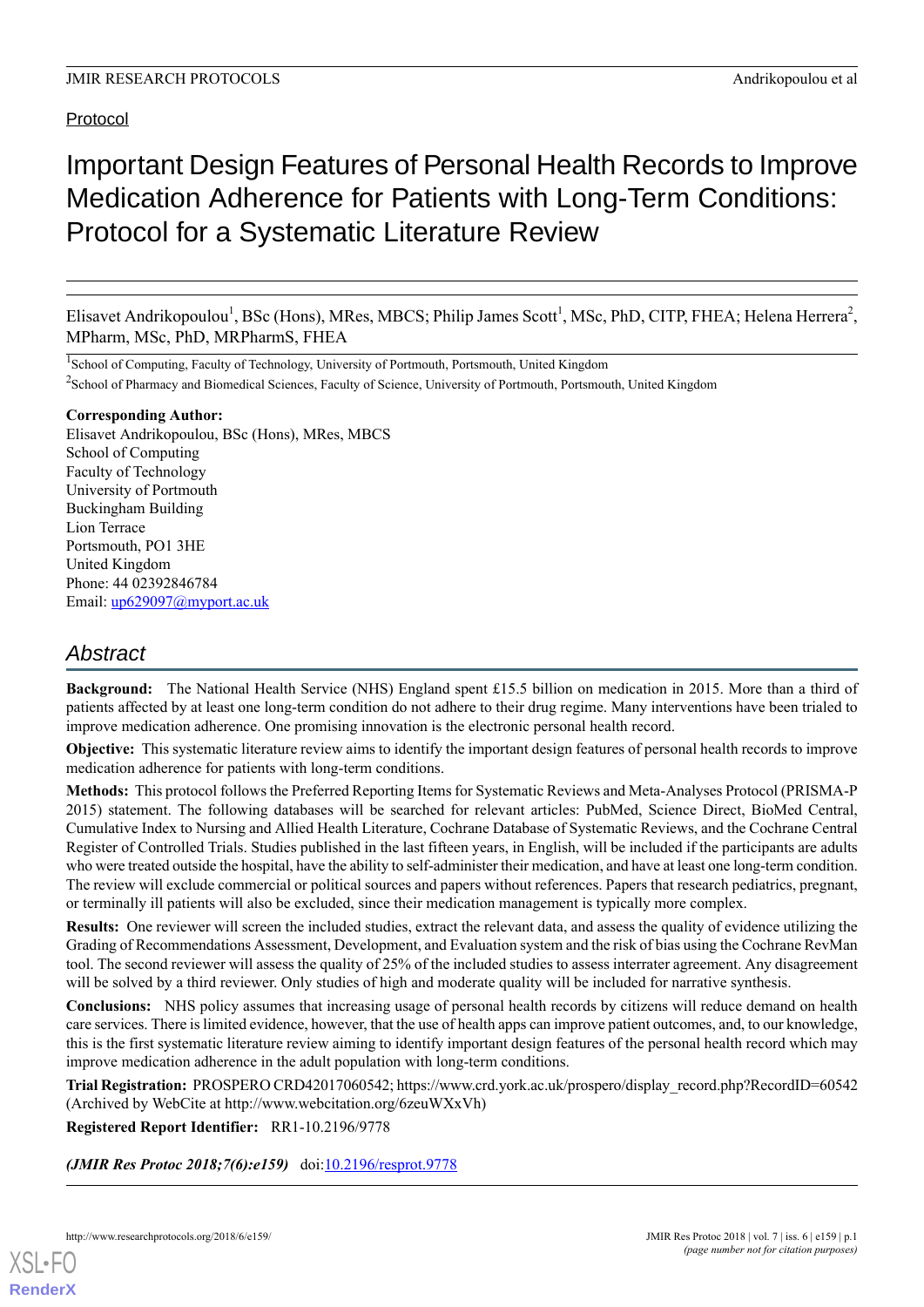# Protocol

# Important Design Features of Personal Health Records to Improve Medication Adherence for Patients with Long-Term Conditions: Protocol for a Systematic Literature Review

Elisavet Andrikopoulou<sup>1</sup>, BSc (Hons), MRes, MBCS; Philip James Scott<sup>1</sup>, MSc, PhD, CITP, FHEA; Helena Herrera<sup>2</sup>, MPharm, MSc, PhD, MRPharmS, FHEA

<sup>1</sup>School of Computing, Faculty of Technology, University of Portmouth, Portsmouth, United Kingdom <sup>2</sup>School of Pharmacy and Biomedical Sciences, Faculty of Science, University of Portmouth, Portsmouth, United Kingdom

# **Corresponding Author:**

Elisavet Andrikopoulou, BSc (Hons), MRes, MBCS School of Computing Faculty of Technology University of Portmouth Buckingham Building Lion Terrace Portsmouth, PO1 3HE United Kingdom Phone: 44 02392846784 Email: [up629097@myport.ac.uk](mailto:up629097@myport.ac.uk)

# *Abstract*

**Background:** The National Health Service (NHS) England spent £15.5 billion on medication in 2015. More than a third of patients affected by at least one long-term condition do not adhere to their drug regime. Many interventions have been trialed to improve medication adherence. One promising innovation is the electronic personal health record.

**Objective:** This systematic literature review aims to identify the important design features of personal health records to improve medication adherence for patients with long-term conditions.

**Methods:** This protocol follows the Preferred Reporting Items for Systematic Reviews and Meta-Analyses Protocol (PRISMA-P 2015) statement. The following databases will be searched for relevant articles: PubMed, Science Direct, BioMed Central, Cumulative Index to Nursing and Allied Health Literature, Cochrane Database of Systematic Reviews, and the Cochrane Central Register of Controlled Trials. Studies published in the last fifteen years, in English, will be included if the participants are adults who were treated outside the hospital, have the ability to self-administer their medication, and have at least one long-term condition. The review will exclude commercial or political sources and papers without references. Papers that research pediatrics, pregnant, or terminally ill patients will also be excluded, since their medication management is typically more complex.

**Results:** One reviewer will screen the included studies, extract the relevant data, and assess the quality of evidence utilizing the Grading of Recommendations Assessment, Development, and Evaluation system and the risk of bias using the Cochrane RevMan tool. The second reviewer will assess the quality of 25% of the included studies to assess interrater agreement. Any disagreement will be solved by a third reviewer. Only studies of high and moderate quality will be included for narrative synthesis.

**Conclusions:** NHS policy assumes that increasing usage of personal health records by citizens will reduce demand on health care services. There is limited evidence, however, that the use of health apps can improve patient outcomes, and, to our knowledge, this is the first systematic literature review aiming to identify important design features of the personal health record which may improve medication adherence in the adult population with long-term conditions.

**Trial Registration:** PROSPERO CRD42017060542; https://www.crd.york.ac.uk/prospero/display\_record.php?RecordID=60542 (Archived by WebCite at http://www.webcitation.org/6zeuWXxVh)

**Registered Report Identifier:** RR1-10.2196/9778

*(JMIR Res Protoc 2018;7(6):e159)* doi: $10.2196$ /resprot.9778

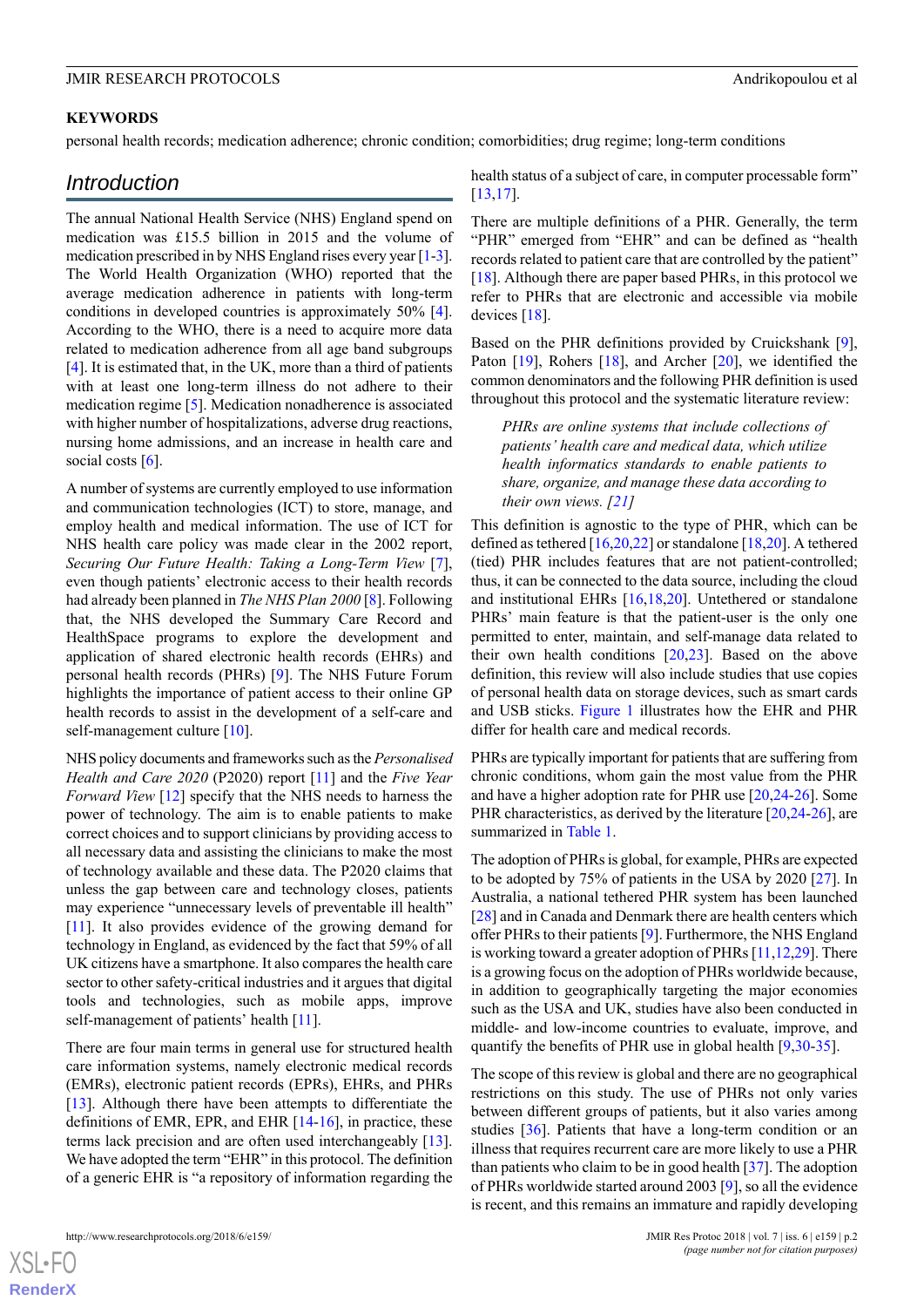## **KEYWORDS**

personal health records; medication adherence; chronic condition; comorbidities; drug regime; long-term conditions

# *Introduction*

The annual National Health Service (NHS) England spend on medication was £15.5 billion in 2015 and the volume of medication prescribed in by NHS England rises every year [[1-](#page-6-0)[3\]](#page-6-1). The World Health Organization (WHO) reported that the average medication adherence in patients with long-term conditions in developed countries is approximately 50% [[4\]](#page-6-2). According to the WHO, there is a need to acquire more data related to medication adherence from all age band subgroups [[4\]](#page-6-2). It is estimated that, in the UK, more than a third of patients with at least one long-term illness do not adhere to their medication regime [[5\]](#page-6-3). Medication nonadherence is associated with higher number of hospitalizations, adverse drug reactions, nursing home admissions, and an increase in health care and social costs  $[6]$  $[6]$ .

A number of systems are currently employed to use information and communication technologies (ICT) to store, manage, and employ health and medical information. The use of ICT for NHS health care policy was made clear in the 2002 report, *Securing Our Future Health: Taking a Long-Term View* [[7\]](#page-6-5), even though patients' electronic access to their health records had already been planned in *The NHS Plan 2000* [[8\]](#page-6-6). Following that, the NHS developed the Summary Care Record and HealthSpace programs to explore the development and application of shared electronic health records (EHRs) and personal health records (PHRs) [\[9](#page-6-7)]. The NHS Future Forum highlights the importance of patient access to their online GP health records to assist in the development of a self-care and self-management culture [\[10](#page-6-8)].

NHS policy documents and frameworks such as the *Personalised Health and Care 2020* (P2020) report [\[11\]](#page-6-9) and the *Five Year Forward View* [\[12](#page-6-10)] specify that the NHS needs to harness the power of technology. The aim is to enable patients to make correct choices and to support clinicians by providing access to all necessary data and assisting the clinicians to make the most of technology available and these data. The P2020 claims that unless the gap between care and technology closes, patients may experience "unnecessary levels of preventable ill health" [[11\]](#page-6-9). It also provides evidence of the growing demand for technology in England, as evidenced by the fact that 59% of all UK citizens have a smartphone. It also compares the health care sector to other safety-critical industries and it argues that digital tools and technologies, such as mobile apps, improve self-management of patients' health [[11](#page-6-9)].

There are four main terms in general use for structured health care information systems, namely electronic medical records (EMRs), electronic patient records (EPRs), EHRs, and PHRs [[13\]](#page-7-0). Although there have been attempts to differentiate the definitions of EMR, EPR, and EHR [\[14](#page-7-1)-[16\]](#page-7-2), in practice, these terms lack precision and are often used interchangeably [[13\]](#page-7-0). We have adopted the term "EHR" in this protocol. The definition of a generic EHR is "a repository of information regarding the

http://www.researchprotocols.org/2018/6/e159/ JMIR Res Protoc 2018 | vol. 7 | iss. 6 | e159 | p.2

health status of a subject of care, in computer processable form" [[13,](#page-7-0)[17\]](#page-7-3).

There are multiple definitions of a PHR. Generally, the term "PHR" emerged from "EHR" and can be defined as "health records related to patient care that are controlled by the patient" [[18\]](#page-7-4). Although there are paper based PHRs, in this protocol we refer to PHRs that are electronic and accessible via mobile devices [\[18](#page-7-4)].

Based on the PHR definitions provided by Cruickshank [[9\]](#page-6-7), Paton [[19\]](#page-7-5), Rohers [\[18](#page-7-4)], and Archer [[20\]](#page-7-6), we identified the common denominators and the following PHR definition is used throughout this protocol and the systematic literature review:

*PHRs are online systems that include collections of patients' health care and medical data, which utilize health informatics standards to enable patients to share, organize, and manage these data according to their own views. [\[21](#page-7-7)]*

This definition is agnostic to the type of PHR, which can be defined as tethered  $[16,20,22]$  $[16,20,22]$  $[16,20,22]$  $[16,20,22]$  $[16,20,22]$  or standalone  $[18,20]$  $[18,20]$  $[18,20]$ . A tethered (tied) PHR includes features that are not patient-controlled; thus, it can be connected to the data source, including the cloud and institutional EHRs [[16,](#page-7-2)[18](#page-7-4),[20\]](#page-7-6). Untethered or standalone PHRs' main feature is that the patient-user is the only one permitted to enter, maintain, and self-manage data related to their own health conditions [\[20](#page-7-6),[23\]](#page-7-9). Based on the above definition, this review will also include studies that use copies of personal health data on storage devices, such as smart cards and USB sticks. [Figure 1](#page-2-0) illustrates how the EHR and PHR differ for health care and medical records.

PHRs are typically important for patients that are suffering from chronic conditions, whom gain the most value from the PHR and have a higher adoption rate for PHR use [[20](#page-7-6)[,24](#page-7-10)-[26\]](#page-7-11). Some PHR characteristics, as derived by the literature [[20](#page-7-6)[,24](#page-7-10)-[26\]](#page-7-11), are summarized in [Table 1.](#page-2-1)

The adoption of PHRs is global, for example, PHRs are expected to be adopted by 75% of patients in the USA by 2020 [[27\]](#page-7-12). In Australia, a national tethered PHR system has been launched [[28\]](#page-7-13) and in Canada and Denmark there are health centers which offer PHRs to their patients [\[9](#page-6-7)]. Furthermore, the NHS England is working toward a greater adoption of PHRs [[11](#page-6-9),[12,](#page-6-10)[29\]](#page-7-14). There is a growing focus on the adoption of PHRs worldwide because, in addition to geographically targeting the major economies such as the USA and UK, studies have also been conducted in middle- and low-income countries to evaluate, improve, and quantify the benefits of PHR use in global health [[9](#page-6-7)[,30](#page-7-15)-[35\]](#page-8-0).

The scope of this review is global and there are no geographical restrictions on this study. The use of PHRs not only varies between different groups of patients, but it also varies among studies [[36\]](#page-8-1). Patients that have a long-term condition or an illness that requires recurrent care are more likely to use a PHR than patients who claim to be in good health [\[37](#page-8-2)]. The adoption of PHRs worldwide started around 2003 [[9](#page-6-7)], so all the evidence is recent, and this remains an immature and rapidly developing

 $XSI - F($ **[RenderX](http://www.renderx.com/)**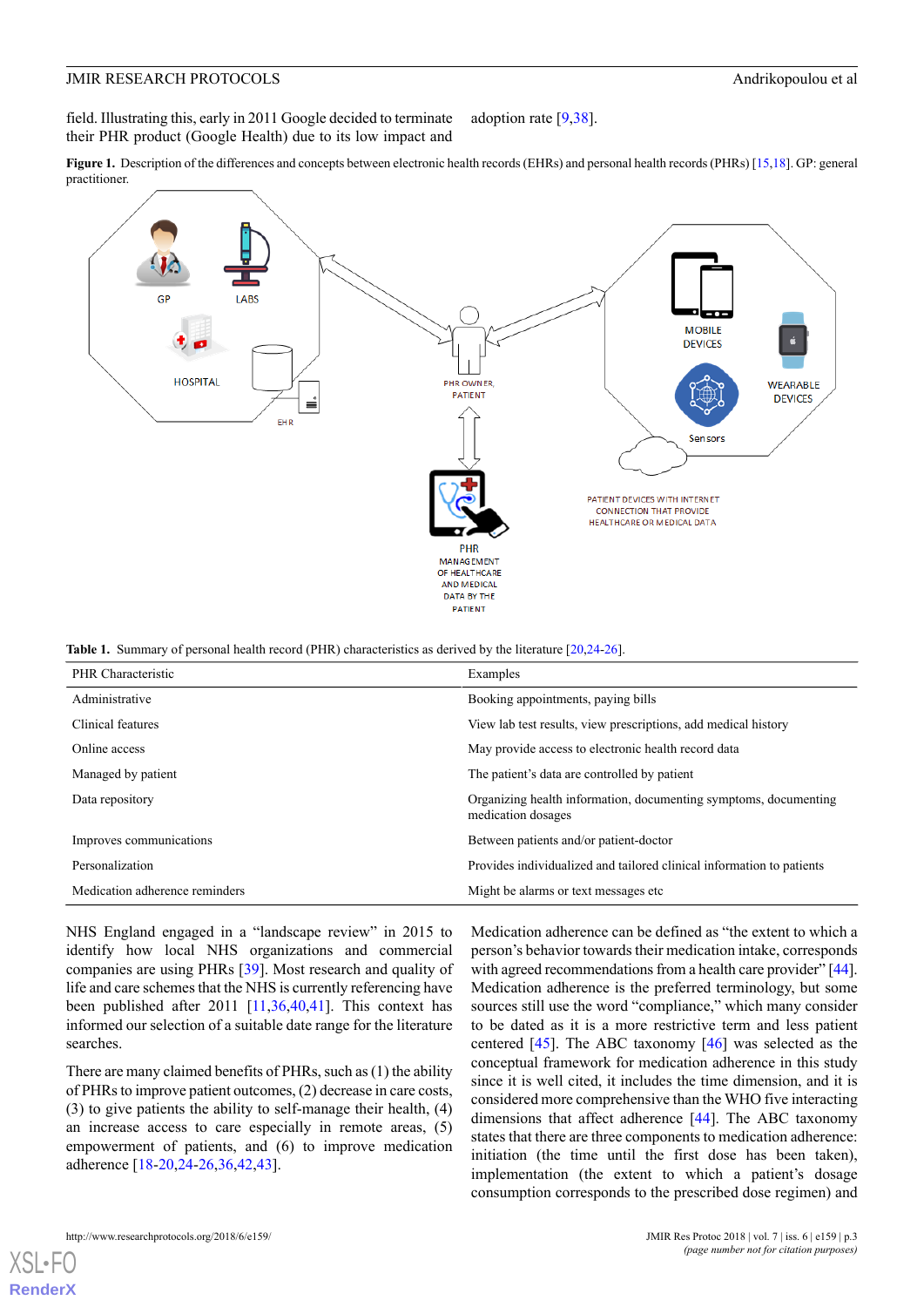field. Illustrating this, early in 2011 Google decided to terminate their PHR product (Google Health) due to its low impact and adoption rate [[9](#page-6-7)[,38](#page-8-3)].

<span id="page-2-0"></span>**Figure 1.** Description of the differences and concepts between electronic health records (EHRs) and personal health records (PHRs) [15,18]. GP: general practitioner.



<span id="page-2-1"></span>**Table 1.** Summary of personal health record (PHR) characteristics as derived by the literature [[20](#page-7-6)[,24-](#page-7-10)[26](#page-7-11)].

| PHR Characteristic             | Examples                                                                               |
|--------------------------------|----------------------------------------------------------------------------------------|
| Administrative                 | Booking appointments, paying bills                                                     |
| Clinical features              | View lab test results, view prescriptions, add medical history                         |
| Online access                  | May provide access to electronic health record data                                    |
| Managed by patient             | The patient's data are controlled by patient                                           |
| Data repository                | Organizing health information, documenting symptoms, documenting<br>medication dosages |
| Improves communications        | Between patients and/or patient-doctor                                                 |
| Personalization                | Provides individualized and tailored clinical information to patients                  |
| Medication adherence reminders | Might be alarms or text messages etc.                                                  |

NHS England engaged in a "landscape review" in 2015 to identify how local NHS organizations and commercial companies are using PHRs [\[39](#page-8-4)]. Most research and quality of life and care schemes that the NHS is currently referencing have been published after 2011 [\[11](#page-6-9),[36,](#page-8-1)[40](#page-8-5),[41\]](#page-8-6). This context has informed our selection of a suitable date range for the literature searches.

There are many claimed benefits of PHRs, such as (1) the ability of PHRs to improve patient outcomes, (2) decrease in care costs, (3) to give patients the ability to self-manage their health, (4) an increase access to care especially in remote areas, (5) empowerment of patients, and (6) to improve medication adherence [[18-](#page-7-4)[20](#page-7-6),[24-](#page-7-10)[26](#page-7-11)[,36](#page-8-1),[42,](#page-8-7)[43\]](#page-8-8).

Medication adherence can be defined as "the extent to which a person's behavior towards their medication intake, corresponds with agreed recommendations from a health care provider" [\[44](#page-8-9)]. Medication adherence is the preferred terminology, but some sources still use the word "compliance," which many consider to be dated as it is a more restrictive term and less patient centered [[45\]](#page-8-10). The ABC taxonomy [[46\]](#page-8-11) was selected as the conceptual framework for medication adherence in this study since it is well cited, it includes the time dimension, and it is considered more comprehensive than the WHO five interacting dimensions that affect adherence [[44\]](#page-8-9). The ABC taxonomy states that there are three components to medication adherence: initiation (the time until the first dose has been taken), implementation (the extent to which a patient's dosage consumption corresponds to the prescribed dose regimen) and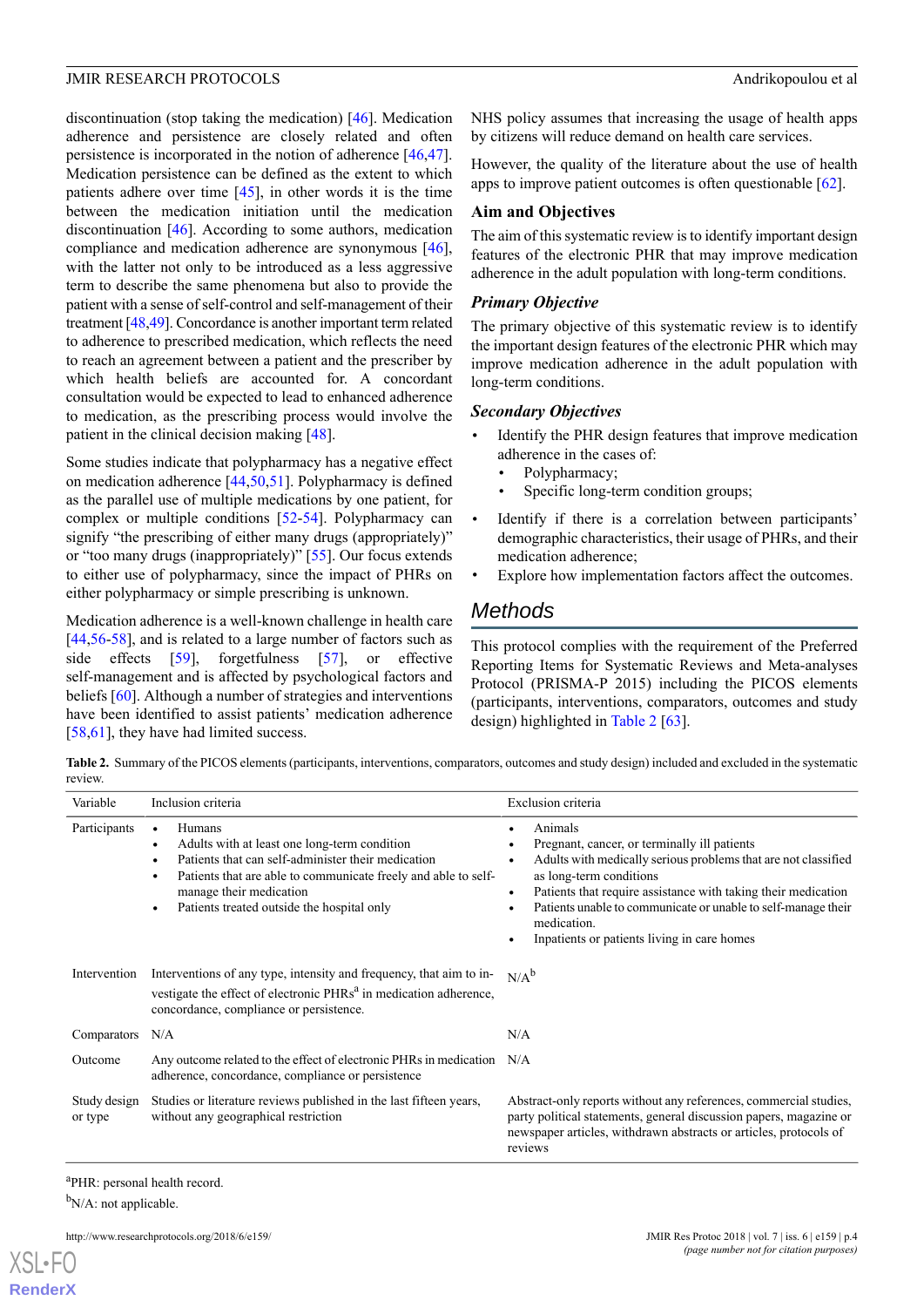discontinuation (stop taking the medication) [\[46](#page-8-11)]. Medication adherence and persistence are closely related and often persistence is incorporated in the notion of adherence [\[46](#page-8-11),[47\]](#page-8-12). Medication persistence can be defined as the extent to which patients adhere over time [\[45](#page-8-10)], in other words it is the time between the medication initiation until the medication discontinuation [[46\]](#page-8-11). According to some authors, medication compliance and medication adherence are synonymous [[46\]](#page-8-11), with the latter not only to be introduced as a less aggressive term to describe the same phenomena but also to provide the patient with a sense of self-control and self-management of their treatment [\[48](#page-8-13)[,49](#page-8-14)]. Concordance is another important term related to adherence to prescribed medication, which reflects the need to reach an agreement between a patient and the prescriber by which health beliefs are accounted for. A concordant consultation would be expected to lead to enhanced adherence to medication, as the prescribing process would involve the patient in the clinical decision making [[48\]](#page-8-13).

Some studies indicate that polypharmacy has a negative effect on medication adherence [[44,](#page-8-9)[50](#page-8-15),[51\]](#page-8-16). Polypharmacy is defined as the parallel use of multiple medications by one patient, for complex or multiple conditions [[52-](#page-8-17)[54](#page-8-18)]. Polypharmacy can signify "the prescribing of either many drugs (appropriately)" or "too many drugs (inappropriately)" [\[55](#page-8-19)]. Our focus extends to either use of polypharmacy, since the impact of PHRs on either polypharmacy or simple prescribing is unknown.

<span id="page-3-0"></span>Medication adherence is a well-known challenge in health care [[44](#page-8-9)[,56](#page-8-20)-[58\]](#page-8-21), and is related to a large number of factors such as side effects [[59\]](#page-8-22), forgetfulness [\[57](#page-8-23)], or effective self-management and is affected by psychological factors and beliefs [[60\]](#page-9-0). Although a number of strategies and interventions have been identified to assist patients' medication adherence [[58](#page-8-21)[,61](#page-9-1)], they have had limited success.

NHS policy assumes that increasing the usage of health apps by citizens will reduce demand on health care services.

However, the quality of the literature about the use of health apps to improve patient outcomes is often questionable [[62\]](#page-9-2).

## **Aim and Objectives**

The aim of this systematic review is to identify important design features of the electronic PHR that may improve medication adherence in the adult population with long-term conditions.

### *Primary Objective*

The primary objective of this systematic review is to identify the important design features of the electronic PHR which may improve medication adherence in the adult population with long-term conditions.

#### *Secondary Objectives*

- Identify the PHR design features that improve medication adherence in the cases of:
	- Polypharmacy;
	- Specific long-term condition groups;
- Identify if there is a correlation between participants' demographic characteristics, their usage of PHRs, and their medication adherence;
- Explore how implementation factors affect the outcomes.

# *Methods*

This protocol complies with the requirement of the Preferred Reporting Items for Systematic Reviews and Meta-analyses Protocol (PRISMA-P 2015) including the PICOS elements (participants, interventions, comparators, outcomes and study design) highlighted in [Table 2](#page-3-0) [\[63](#page-9-3)].

**Table 2.** Summary of the PICOS elements (participants, interventions, comparators, outcomes and study design) included and excluded in the systematic review.

| Variable                | Inclusion criteria                                                                                                                                                                                                                                                          | Exclusion criteria                                                                                                                                                                                                                                                                                                                                                |
|-------------------------|-----------------------------------------------------------------------------------------------------------------------------------------------------------------------------------------------------------------------------------------------------------------------------|-------------------------------------------------------------------------------------------------------------------------------------------------------------------------------------------------------------------------------------------------------------------------------------------------------------------------------------------------------------------|
| Participants            | <b>Humans</b><br>$\bullet$<br>Adults with at least one long-term condition<br>Patients that can self-administer their medication<br>Patients that are able to communicate freely and able to self-<br>manage their medication<br>Patients treated outside the hospital only | Animals<br>Pregnant, cancer, or terminally ill patients<br>Adults with medically serious problems that are not classified<br>as long-term conditions<br>Patients that require assistance with taking their medication<br>$\bullet$<br>Patients unable to communicate or unable to self-manage their<br>medication.<br>Inpatients or patients living in care homes |
| Intervention            | Interventions of any type, intensity and frequency, that aim to in-<br>vestigate the effect of electronic PHRs <sup>a</sup> in medication adherence,<br>concordance, compliance or persistence.                                                                             | $N/A^b$                                                                                                                                                                                                                                                                                                                                                           |
| Comparators             | N/A                                                                                                                                                                                                                                                                         | N/A                                                                                                                                                                                                                                                                                                                                                               |
| Outcome                 | Any outcome related to the effect of electronic PHRs in medication N/A<br>adherence, concordance, compliance or persistence                                                                                                                                                 |                                                                                                                                                                                                                                                                                                                                                                   |
| Study design<br>or type | Studies or literature reviews published in the last fifteen years,<br>without any geographical restriction                                                                                                                                                                  | Abstract-only reports without any references, commercial studies,<br>party political statements, general discussion papers, magazine or<br>newspaper articles, withdrawn abstracts or articles, protocols of<br>reviews                                                                                                                                           |

<sup>a</sup>PHR: personal health record.

 $b$ N/A: not applicable.

[XSL](http://www.w3.org/Style/XSL)•FO **[RenderX](http://www.renderx.com/)**

http://www.researchprotocols.org/2018/6/e159/ JMIR Res Protoc 2018 | vol. 7 | iss. 6 | e159 | p.4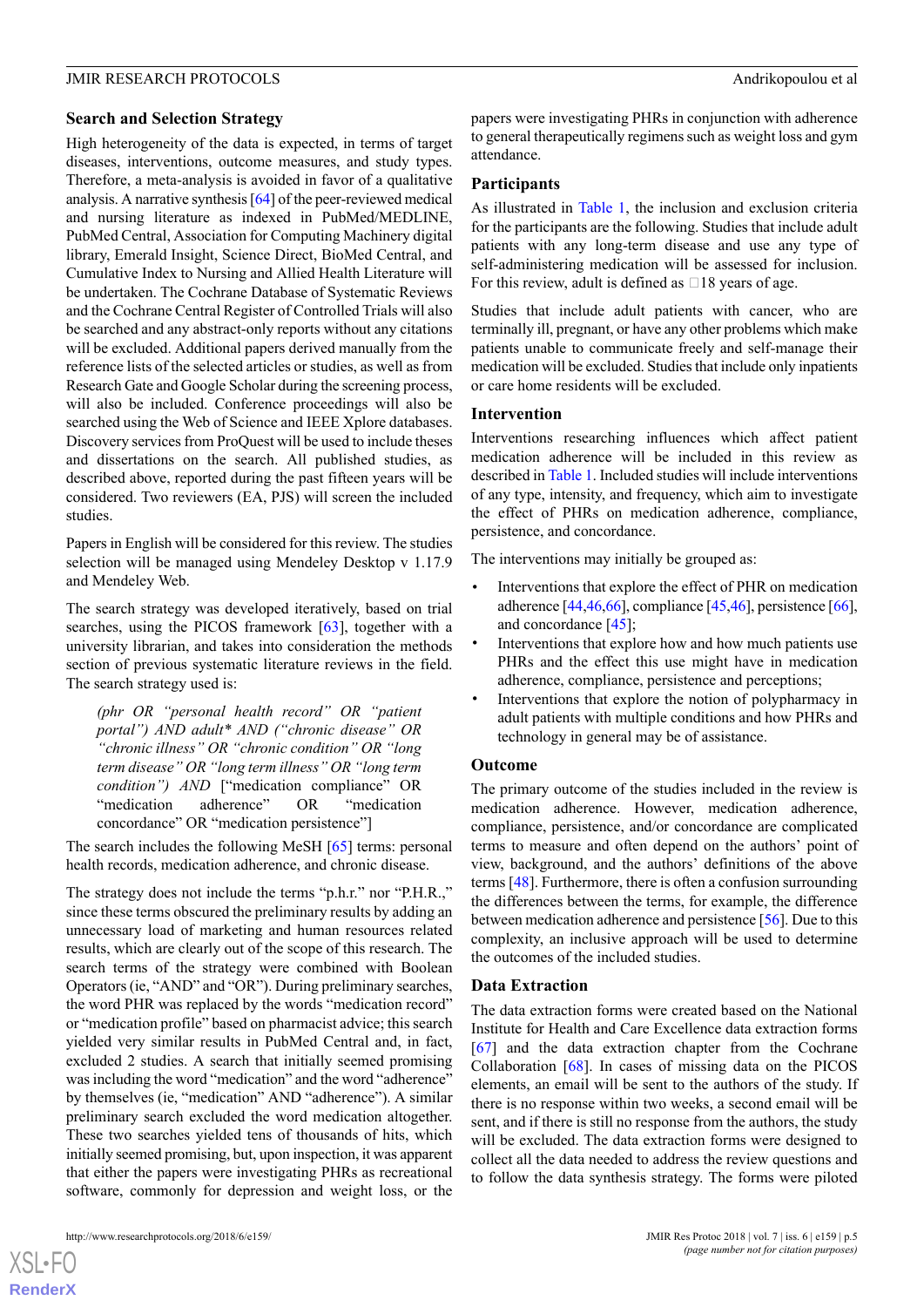### **Search and Selection Strategy**

High heterogeneity of the data is expected, in terms of target diseases, interventions, outcome measures, and study types. Therefore, a meta-analysis is avoided in favor of a qualitative analysis. A narrative synthesis [\[64](#page-9-4)] of the peer-reviewed medical and nursing literature as indexed in PubMed/MEDLINE, PubMed Central, Association for Computing Machinery digital library, Emerald Insight, Science Direct, BioMed Central, and Cumulative Index to Nursing and Allied Health Literature will be undertaken. The Cochrane Database of Systematic Reviews and the Cochrane Central Register of Controlled Trials will also be searched and any abstract-only reports without any citations will be excluded. Additional papers derived manually from the reference lists of the selected articles or studies, as well as from Research Gate and Google Scholar during the screening process, will also be included. Conference proceedings will also be searched using the Web of Science and IEEE Xplore databases. Discovery services from ProQuest will be used to include theses and dissertations on the search. All published studies, as described above, reported during the past fifteen years will be considered. Two reviewers (EA, PJS) will screen the included studies.

Papers in English will be considered for this review. The studies selection will be managed using Mendeley Desktop v 1.17.9 and Mendeley Web.

The search strategy was developed iteratively, based on trial searches, using the PICOS framework [[63\]](#page-9-3), together with a university librarian, and takes into consideration the methods section of previous systematic literature reviews in the field. The search strategy used is:

*(phr OR "personal health record" OR "patient portal") AND adult\* AND ("chronic disease" OR "chronic illness" OR "chronic condition" OR "long term disease" OR "long term illness" OR "long term condition") AND* ["medication compliance" OR "medication adherence" OR "medication concordance" OR "medication persistence"]

The search includes the following MeSH [[65\]](#page-9-5) terms: personal health records, medication adherence, and chronic disease.

The strategy does not include the terms "p.h.r." nor "P.H.R.," since these terms obscured the preliminary results by adding an unnecessary load of marketing and human resources related results, which are clearly out of the scope of this research. The search terms of the strategy were combined with Boolean Operators (ie, "AND" and "OR"). During preliminary searches, the word PHR was replaced by the words "medication record" or "medication profile" based on pharmacist advice; this search yielded very similar results in PubMed Central and, in fact, excluded 2 studies. A search that initially seemed promising was including the word "medication" and the word "adherence" by themselves (ie, "medication" AND "adherence"). A similar preliminary search excluded the word medication altogether. These two searches yielded tens of thousands of hits, which initially seemed promising, but, upon inspection, it was apparent that either the papers were investigating PHRs as recreational software, commonly for depression and weight loss, or the

 $X$ SL•F $C$ **[RenderX](http://www.renderx.com/)** papers were investigating PHRs in conjunction with adherence to general therapeutically regimens such as weight loss and gym attendance.

#### **Participants**

As illustrated in [Table 1](#page-2-1), the inclusion and exclusion criteria for the participants are the following. Studies that include adult patients with any long-term disease and use any type of self-administering medication will be assessed for inclusion. For this review, adult is defined as  $\Box$  18 years of age.

Studies that include adult patients with cancer, who are terminally ill, pregnant, or have any other problems which make patients unable to communicate freely and self-manage their medication will be excluded. Studies that include only inpatients or care home residents will be excluded.

#### **Intervention**

Interventions researching influences which affect patient medication adherence will be included in this review as described in [Table 1](#page-2-1). Included studies will include interventions of any type, intensity, and frequency, which aim to investigate the effect of PHRs on medication adherence, compliance, persistence, and concordance.

The interventions may initially be grouped as:

- Interventions that explore the effect of PHR on medication adherence [[44,](#page-8-9)[46](#page-8-11)[,66](#page-9-6)], compliance [\[45](#page-8-10),[46\]](#page-8-11), persistence [\[66](#page-9-6)], and concordance [[45\]](#page-8-10);
- Interventions that explore how and how much patients use PHRs and the effect this use might have in medication adherence, compliance, persistence and perceptions;
- Interventions that explore the notion of polypharmacy in adult patients with multiple conditions and how PHRs and technology in general may be of assistance.

#### **Outcome**

The primary outcome of the studies included in the review is medication adherence. However, medication adherence, compliance, persistence, and/or concordance are complicated terms to measure and often depend on the authors' point of view, background, and the authors' definitions of the above terms [\[48](#page-8-13)]. Furthermore, there is often a confusion surrounding the differences between the terms, for example, the difference between medication adherence and persistence [[56](#page-8-20)]. Due to this complexity, an inclusive approach will be used to determine the outcomes of the included studies.

#### **Data Extraction**

The data extraction forms were created based on the National Institute for Health and Care Excellence data extraction forms [[67\]](#page-9-7) and the data extraction chapter from the Cochrane Collaboration [\[68](#page-9-8)]. In cases of missing data on the PICOS elements, an email will be sent to the authors of the study. If there is no response within two weeks, a second email will be sent, and if there is still no response from the authors, the study will be excluded. The data extraction forms were designed to collect all the data needed to address the review questions and to follow the data synthesis strategy. The forms were piloted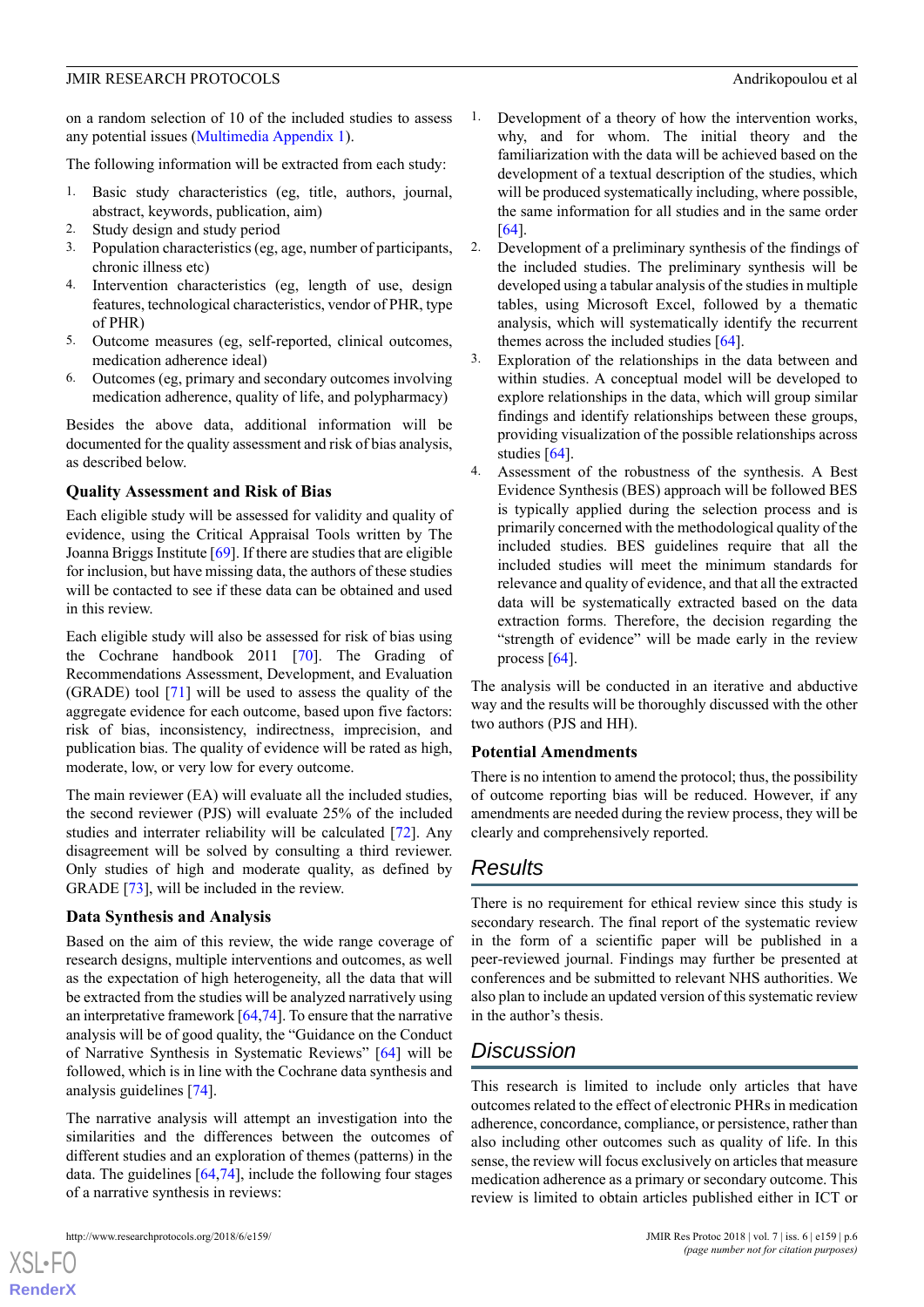on a random selection of 10 of the included studies to assess any potential issues ([Multimedia Appendix 1\)](#page-6-11).

The following information will be extracted from each study:

- 1. Basic study characteristics (eg, title, authors, journal, abstract, keywords, publication, aim)
- 2. Study design and study period
- 3. Population characteristics (eg, age, number of participants, chronic illness etc)
- 4. Intervention characteristics (eg, length of use, design features, technological characteristics, vendor of PHR, type of PHR)
- 5. Outcome measures (eg, self-reported, clinical outcomes, medication adherence ideal)
- 6. Outcomes (eg, primary and secondary outcomes involving medication adherence, quality of life, and polypharmacy)

Besides the above data, additional information will be documented for the quality assessment and risk of bias analysis, as described below.

# **Quality Assessment and Risk of Bias**

Each eligible study will be assessed for validity and quality of evidence, using the Critical Appraisal Tools written by The Joanna Briggs Institute [[69\]](#page-9-9). If there are studies that are eligible for inclusion, but have missing data, the authors of these studies will be contacted to see if these data can be obtained and used in this review.

Each eligible study will also be assessed for risk of bias using the Cochrane handbook 2011 [[70\]](#page-9-10). The Grading of Recommendations Assessment, Development, and Evaluation (GRADE) tool [[71\]](#page-9-11) will be used to assess the quality of the aggregate evidence for each outcome, based upon five factors: risk of bias, inconsistency, indirectness, imprecision, and publication bias. The quality of evidence will be rated as high, moderate, low, or very low for every outcome.

The main reviewer (EA) will evaluate all the included studies, the second reviewer (PJS) will evaluate 25% of the included studies and interrater reliability will be calculated [[72\]](#page-9-12). Any disagreement will be solved by consulting a third reviewer. Only studies of high and moderate quality, as defined by GRADE [[73\]](#page-9-13), will be included in the review.

# **Data Synthesis and Analysis**

Based on the aim of this review, the wide range coverage of research designs, multiple interventions and outcomes, as well as the expectation of high heterogeneity, all the data that will be extracted from the studies will be analyzed narratively using an interpretative framework [\[64](#page-9-4),[74\]](#page-9-14). To ensure that the narrative analysis will be of good quality, the "Guidance on the Conduct of Narrative Synthesis in Systematic Reviews" [\[64](#page-9-4)] will be followed, which is in line with the Cochrane data synthesis and analysis guidelines [\[74](#page-9-14)].

The narrative analysis will attempt an investigation into the similarities and the differences between the outcomes of different studies and an exploration of themes (patterns) in the data. The guidelines [\[64](#page-9-4),[74\]](#page-9-14), include the following four stages of a narrative synthesis in reviews:

- Development of a theory of how the intervention works, why, and for whom. The initial theory and the familiarization with the data will be achieved based on the development of a textual description of the studies, which will be produced systematically including, where possible, the same information for all studies and in the same order [[64\]](#page-9-4).
- 2. Development of a preliminary synthesis of the findings of the included studies. The preliminary synthesis will be developed using a tabular analysis of the studies in multiple tables, using Microsoft Excel, followed by a thematic analysis, which will systematically identify the recurrent themes across the included studies  $[64]$  $[64]$ .
- 3. Exploration of the relationships in the data between and within studies. A conceptual model will be developed to explore relationships in the data, which will group similar findings and identify relationships between these groups, providing visualization of the possible relationships across studies [\[64](#page-9-4)].
- 4. Assessment of the robustness of the synthesis. A Best Evidence Synthesis (BES) approach will be followed BES is typically applied during the selection process and is primarily concerned with the methodological quality of the included studies. BES guidelines require that all the included studies will meet the minimum standards for relevance and quality of evidence, and that all the extracted data will be systematically extracted based on the data extraction forms. Therefore, the decision regarding the "strength of evidence" will be made early in the review process [\[64](#page-9-4)].

The analysis will be conducted in an iterative and abductive way and the results will be thoroughly discussed with the other two authors (PJS and HH).

#### **Potential Amendments**

There is no intention to amend the protocol; thus, the possibility of outcome reporting bias will be reduced. However, if any amendments are needed during the review process, they will be clearly and comprehensively reported.

# *Results*

There is no requirement for ethical review since this study is secondary research. The final report of the systematic review in the form of a scientific paper will be published in a peer-reviewed journal. Findings may further be presented at conferences and be submitted to relevant NHS authorities. We also plan to include an updated version of this systematic review in the author's thesis.

# *Discussion*

This research is limited to include only articles that have outcomes related to the effect of electronic PHRs in medication adherence, concordance, compliance, or persistence, rather than also including other outcomes such as quality of life. In this sense, the review will focus exclusively on articles that measure medication adherence as a primary or secondary outcome. This review is limited to obtain articles published either in ICT or

 $XS$  • FO **[RenderX](http://www.renderx.com/)**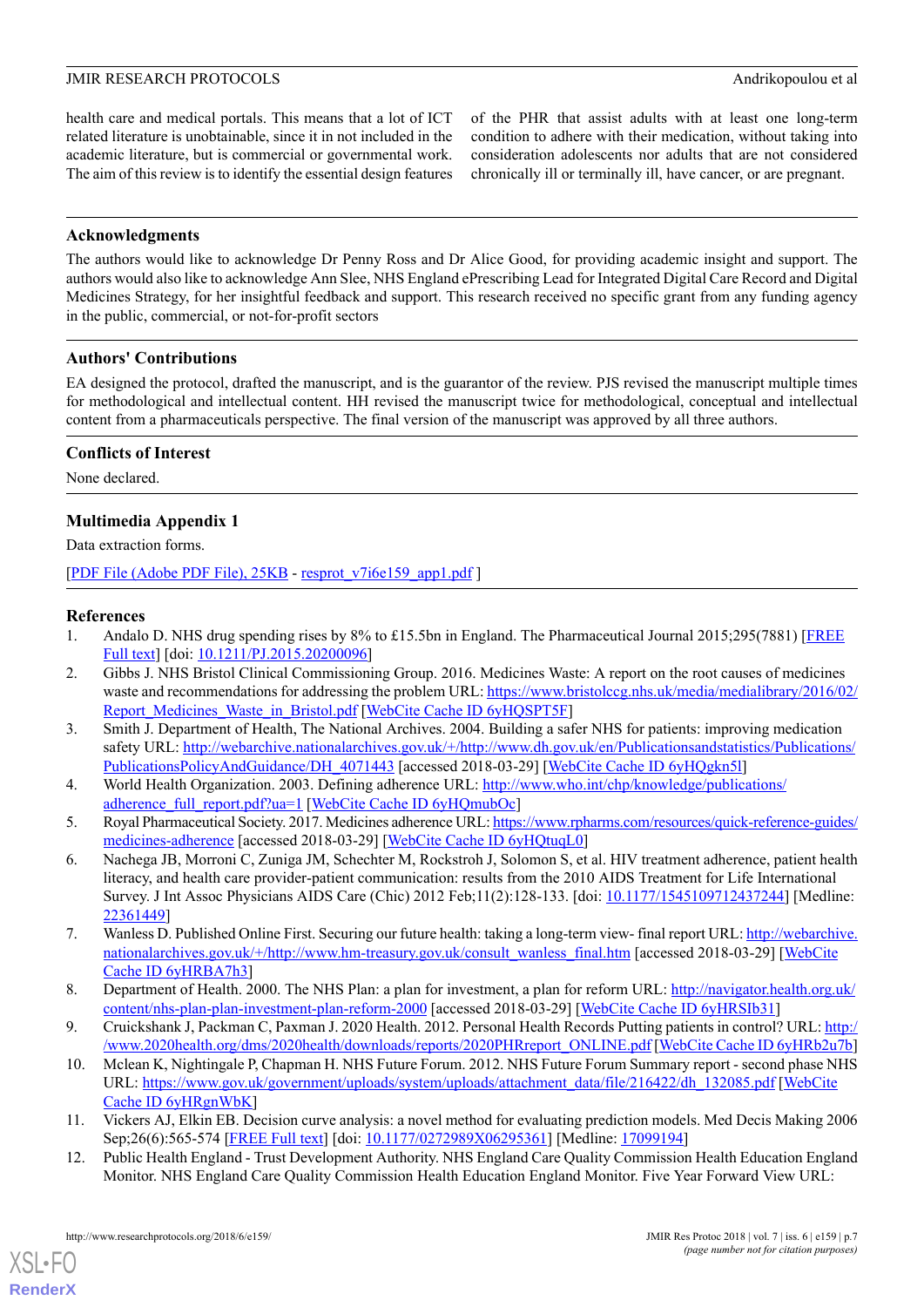health care and medical portals. This means that a lot of ICT related literature is unobtainable, since it in not included in the academic literature, but is commercial or governmental work. The aim of this review is to identify the essential design features

of the PHR that assist adults with at least one long-term condition to adhere with their medication, without taking into consideration adolescents nor adults that are not considered chronically ill or terminally ill, have cancer, or are pregnant.

# **Acknowledgments**

The authors would like to acknowledge Dr Penny Ross and Dr Alice Good, for providing academic insight and support. The authors would also like to acknowledge Ann Slee, NHS England ePrescribing Lead for Integrated Digital Care Record and Digital Medicines Strategy, for her insightful feedback and support. This research received no specific grant from any funding agency in the public, commercial, or not-for-profit sectors

# **Authors' Contributions**

EA designed the protocol, drafted the manuscript, and is the guarantor of the review. PJS revised the manuscript multiple times for methodological and intellectual content. HH revised the manuscript twice for methodological, conceptual and intellectual content from a pharmaceuticals perspective. The final version of the manuscript was approved by all three authors.

#### **Conflicts of Interest**

<span id="page-6-11"></span>None declared.

# **Multimedia Appendix 1**

Data extraction forms.

<span id="page-6-0"></span>[[PDF File \(Adobe PDF File\), 25KB](http://www.researchprotocols.org/article/downloadSuppFile/9778/72911) - [resprot\\_v7i6e159\\_app1.pdf](http://www.researchprotocols.org/article/downloadSuppFile/9778/72911) ]

# **References**

- 1. Andalo D. NHS drug spending rises by 8% to £15.5bn in England. The Pharmaceutical Journal 2015;295(7881) [[FREE](http://www.pharmaceutical-journal.com/news-and-analysis/nhs-drug-spending-rises-by-8-to-155bn-in-england/20200096.article) [Full text](http://www.pharmaceutical-journal.com/news-and-analysis/nhs-drug-spending-rises-by-8-to-155bn-in-england/20200096.article)] [doi: [10.1211/PJ.2015.20200096\]](http://dx.doi.org/10.1211/PJ.2015.20200096)
- <span id="page-6-1"></span>2. Gibbs J. NHS Bristol Clinical Commissioning Group. 2016. Medicines Waste: A report on the root causes of medicines waste and recommendations for addressing the problem URL: [https://www.bristolccg.nhs.uk/media/medialibrary/2016/02/](https://www.bristolccg.nhs.uk/media/medialibrary/2016/02/Report_Medicines_Waste_in_Bristol.pdf) [Report\\_Medicines\\_Waste\\_in\\_Bristol.pdf](https://www.bristolccg.nhs.uk/media/medialibrary/2016/02/Report_Medicines_Waste_in_Bristol.pdf) [\[WebCite Cache ID 6yHQSPT5F](http://www.webcitation.org/6yHQSPT5F)]
- <span id="page-6-3"></span><span id="page-6-2"></span>3. Smith J. Department of Health, The National Archives. 2004. Building a safer NHS for patients: improving medication safety URL: [http://webarchive.nationalarchives.gov.uk/+/http://www.dh.gov.uk/en/Publicationsandstatistics/Publications/](http://webarchive.nationalarchives.gov.uk/+/http://www.dh.gov.uk/en/Publicationsandstatistics/Publications/PublicationsPolicyAndGuidance/DH_4071443) [PublicationsPolicyAndGuidance/DH\\_4071443](http://webarchive.nationalarchives.gov.uk/+/http://www.dh.gov.uk/en/Publicationsandstatistics/Publications/PublicationsPolicyAndGuidance/DH_4071443) [accessed 2018-03-29] [\[WebCite Cache ID 6yHQgkn5l](http://www.webcitation.org/6yHQgkn5l)]
- <span id="page-6-4"></span>4. World Health Organization. 2003. Defining adherence URL: [http://www.who.int/chp/knowledge/publications/](http://www.who.int/chp/knowledge/publications/adherence_full_report.pdf?ua=1) [adherence\\_full\\_report.pdf?ua=1](http://www.who.int/chp/knowledge/publications/adherence_full_report.pdf?ua=1) [[WebCite Cache ID 6yHQmubOc](http://www.webcitation.org/6yHQmubOc)]
- 5. Royal Pharmaceutical Society. 2017. Medicines adherence URL: [https://www.rpharms.com/resources/quick-reference-guides/](https://www.rpharms.com/resources/quick-reference-guides/medicines-adherence) [medicines-adherence](https://www.rpharms.com/resources/quick-reference-guides/medicines-adherence) [accessed 2018-03-29] [[WebCite Cache ID 6yHQtuqL0\]](http://www.webcitation.org/6yHQtuqL0)
- <span id="page-6-6"></span><span id="page-6-5"></span>6. Nachega JB, Morroni C, Zuniga JM, Schechter M, Rockstroh J, Solomon S, et al. HIV treatment adherence, patient health literacy, and health care provider-patient communication: results from the 2010 AIDS Treatment for Life International Survey. J Int Assoc Physicians AIDS Care (Chic) 2012 Feb;11(2):128-133. [doi: [10.1177/1545109712437244\]](http://dx.doi.org/10.1177/1545109712437244) [Medline: [22361449](http://www.ncbi.nlm.nih.gov/entrez/query.fcgi?cmd=Retrieve&db=PubMed&list_uids=22361449&dopt=Abstract)]
- <span id="page-6-8"></span><span id="page-6-7"></span>7. Wanless D. Published Online First. Securing our future health: taking a long-term view- final report URL: [http://webarchive.](http://webarchive.nationalarchives.gov.uk/+/http://www.hm-treasury.gov.uk/consult_wanless_final.htm) [nationalarchives.gov.uk/+/http://www.hm-treasury.gov.uk/consult\\_wanless\\_final.htm](http://webarchive.nationalarchives.gov.uk/+/http://www.hm-treasury.gov.uk/consult_wanless_final.htm) [accessed 2018-03-29] [[WebCite](http://www.webcitation.org/6yHRBA7h3) [Cache ID 6yHRBA7h3\]](http://www.webcitation.org/6yHRBA7h3)
- 8. Department of Health. 2000. The NHS Plan: a plan for investment, a plan for reform URL: [http://navigator.health.org.uk/](http://navigator.health.org.uk/content/nhs-plan-plan-investment-plan-reform-2000) [content/nhs-plan-plan-investment-plan-reform-2000](http://navigator.health.org.uk/content/nhs-plan-plan-investment-plan-reform-2000) [accessed 2018-03-29] [\[WebCite Cache ID 6yHRSIb31\]](http://www.webcitation.org/6yHRSIb31)
- <span id="page-6-10"></span><span id="page-6-9"></span>9. Cruickshank J, Packman C, Paxman J. 2020 Health. 2012. Personal Health Records Putting patients in control? URL: [http:/](http://www.2020health.org/dms/2020health/downloads/reports/2020PHRreport_ONLINE.pdf) [/www.2020health.org/dms/2020health/downloads/reports/2020PHRreport\\_ONLINE.pdf](http://www.2020health.org/dms/2020health/downloads/reports/2020PHRreport_ONLINE.pdf) [[WebCite Cache ID 6yHRb2u7b\]](http://www.webcitation.org/6yHRb2u7b)
- 10. Mclean K, Nightingale P, Chapman H. NHS Future Forum. 2012. NHS Future Forum Summary report second phase NHS URL: [https://www.gov.uk/government/uploads/system/uploads/attachment\\_data/file/216422/dh\\_132085.pdf](https://www.gov.uk/government/uploads/system/uploads/attachment_data/file/216422/dh_132085.pdf) [\[WebCite](http://www.webcitation.org/6yHRgnWbK) [Cache ID 6yHRgnWbK\]](http://www.webcitation.org/6yHRgnWbK)
- 11. Vickers AJ, Elkin EB. Decision curve analysis: a novel method for evaluating prediction models. Med Decis Making 2006 Sep;26(6):565-574 [[FREE Full text](http://europepmc.org/abstract/MED/17099194)] [doi: [10.1177/0272989X06295361\]](http://dx.doi.org/10.1177/0272989X06295361) [Medline: [17099194](http://www.ncbi.nlm.nih.gov/entrez/query.fcgi?cmd=Retrieve&db=PubMed&list_uids=17099194&dopt=Abstract)]
- 12. Public Health England Trust Development Authority. NHS England Care Quality Commission Health Education England Monitor. NHS England Care Quality Commission Health Education England Monitor. Five Year Forward View URL: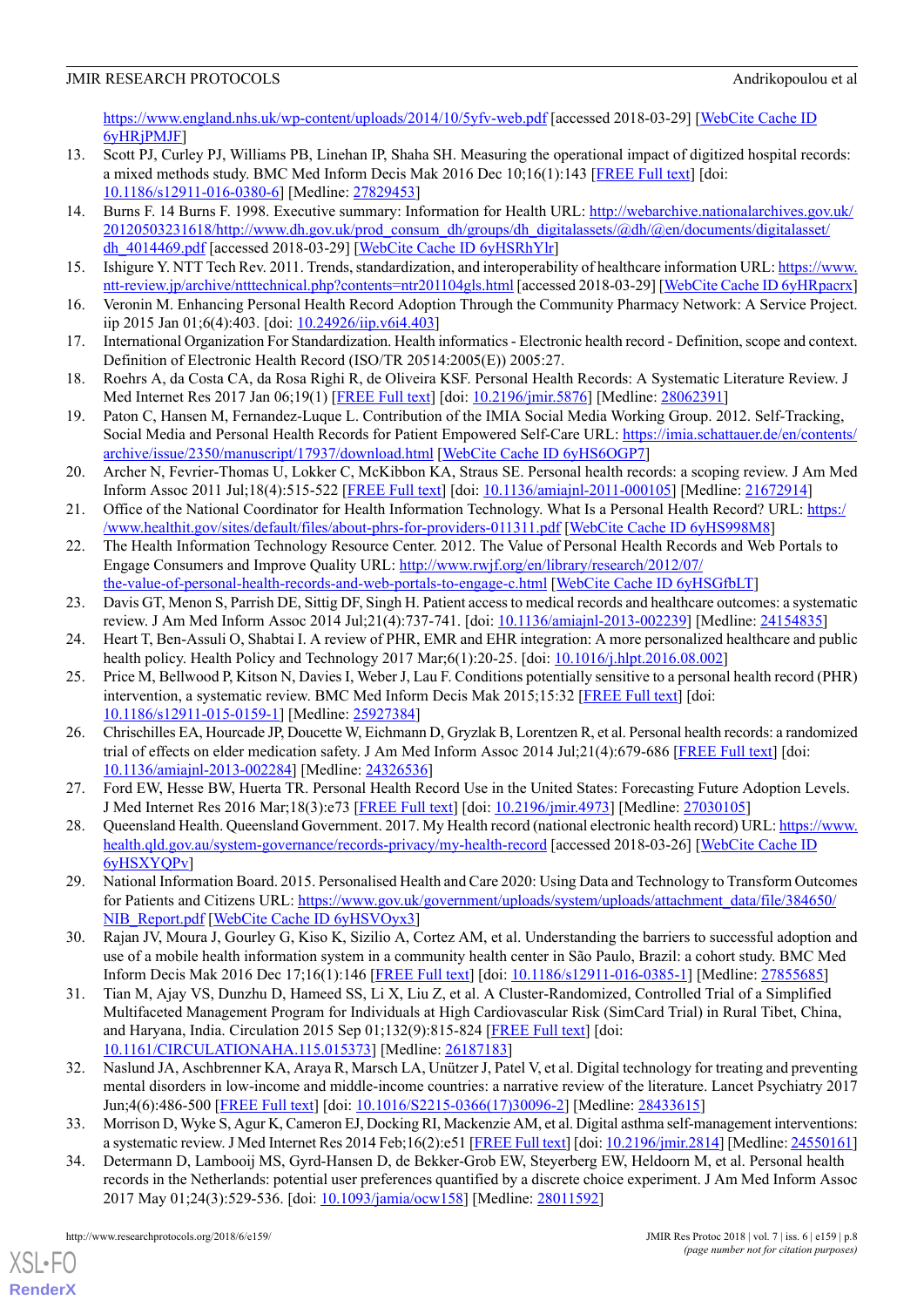# JMIR RESEARCH PROTOCOLS Andrikopoulou et al

<https://www.england.nhs.uk/wp-content/uploads/2014/10/5yfv-web.pdf> [accessed 2018-03-29] [\[WebCite Cache ID](http://www.webcitation.org/6yHRjPMJF) [6yHRjPMJF](http://www.webcitation.org/6yHRjPMJF)]

- <span id="page-7-0"></span>13. Scott PJ, Curley PJ, Williams PB, Linehan IP, Shaha SH. Measuring the operational impact of digitized hospital records: a mixed methods study. BMC Med Inform Decis Mak 2016 Dec 10;16(1):143 [\[FREE Full text\]](https://bmcmedinformdecismak.biomedcentral.com/articles/10.1186/s12911-016-0380-6) [doi: [10.1186/s12911-016-0380-6\]](http://dx.doi.org/10.1186/s12911-016-0380-6) [Medline: [27829453\]](http://www.ncbi.nlm.nih.gov/entrez/query.fcgi?cmd=Retrieve&db=PubMed&list_uids=27829453&dopt=Abstract)
- <span id="page-7-1"></span>14. Burns F. 14 Burns F. 1998. Executive summary: Information for Health URL: [http://webarchive.nationalarchives.gov.uk/](http://webarchive.nationalarchives.gov.uk/20120503231618/http://www.dh.gov.uk/prod_consum_dh/groups/dh_digitalassets/@dh/@en/documents/digitalasset/dh_4014469.pdf) [20120503231618/http://www.dh.gov.uk/prod\\_consum\\_dh/groups/dh\\_digitalassets/@dh/@en/documents/digitalasset/](http://webarchive.nationalarchives.gov.uk/20120503231618/http://www.dh.gov.uk/prod_consum_dh/groups/dh_digitalassets/@dh/@en/documents/digitalasset/dh_4014469.pdf) dh 4014469.pdf [accessed 2018-03-29] [\[WebCite Cache ID 6yHSRhYlr\]](http://www.webcitation.org/6yHSRhYlr)
- <span id="page-7-2"></span>15. Ishigure Y. NTT Tech Rev. 2011. Trends, standardization, and interoperability of healthcare information URL: [https://www.](https://www.ntt-review.jp/archive/ntttechnical.php?contents=ntr201104gls.html) [ntt-review.jp/archive/ntttechnical.php?contents=ntr201104gls.html](https://www.ntt-review.jp/archive/ntttechnical.php?contents=ntr201104gls.html) [accessed 2018-03-29] [\[WebCite Cache ID 6yHRpacrx\]](http://www.webcitation.org/6yHRpacrx)
- <span id="page-7-3"></span>16. Veronin M. Enhancing Personal Health Record Adoption Through the Community Pharmacy Network: A Service Project. iip 2015 Jan 01;6(4):403. [doi: [10.24926/iip.v6i4.403](http://dx.doi.org/10.24926/iip.v6i4.403)]
- <span id="page-7-4"></span>17. International Organization For Standardization. Health informatics - Electronic health record - Definition, scope and context. Definition of Electronic Health Record (ISO/TR 20514:2005(E)) 2005:27.
- <span id="page-7-5"></span>18. Roehrs A, da Costa CA, da Rosa Righi R, de Oliveira KSF. Personal Health Records: A Systematic Literature Review. J Med Internet Res 2017 Jan 06;19(1) [[FREE Full text\]](http://www.jmir.org/2017/1/e13/) [doi: [10.2196/jmir.5876](http://dx.doi.org/10.2196/jmir.5876)] [Medline: [28062391](http://www.ncbi.nlm.nih.gov/entrez/query.fcgi?cmd=Retrieve&db=PubMed&list_uids=28062391&dopt=Abstract)]
- <span id="page-7-6"></span>19. Paton C, Hansen M, Fernandez-Luque L. Contribution of the IMIA Social Media Working Group. 2012. Self-Tracking, Social Media and Personal Health Records for Patient Empowered Self-Care URL: [https://imia.schattauer.de/en/contents/](https://imia.schattauer.de/en/contents/archive/issue/2350/manuscript/17937/download.html) [archive/issue/2350/manuscript/17937/download.html](https://imia.schattauer.de/en/contents/archive/issue/2350/manuscript/17937/download.html) [\[WebCite Cache ID 6yHS6OGP7\]](http://www.webcitation.org/6yHS6OGP7)
- <span id="page-7-7"></span>20. Archer N, Fevrier-Thomas U, Lokker C, McKibbon KA, Straus SE. Personal health records: a scoping review. J Am Med Inform Assoc 2011 Jul;18(4):515-522 [[FREE Full text](http://europepmc.org/abstract/MED/21672914)] [doi: [10.1136/amiajnl-2011-000105\]](http://dx.doi.org/10.1136/amiajnl-2011-000105) [Medline: [21672914](http://www.ncbi.nlm.nih.gov/entrez/query.fcgi?cmd=Retrieve&db=PubMed&list_uids=21672914&dopt=Abstract)]
- <span id="page-7-8"></span>21. Office of the National Coordinator for Health Information Technology. What Is a Personal Health Record? URL: [https:/](https://www.healthit.gov/sites/default/files/about-phrs-for-providers-011311.pdf) [/www.healthit.gov/sites/default/files/about-phrs-for-providers-011311.pdf](https://www.healthit.gov/sites/default/files/about-phrs-for-providers-011311.pdf) [\[WebCite Cache ID 6yHS998M8](http://www.webcitation.org/6yHS998M8)]
- <span id="page-7-9"></span>22. The Health Information Technology Resource Center. 2012. The Value of Personal Health Records and Web Portals to Engage Consumers and Improve Quality URL: [http://www.rwjf.org/en/library/research/2012/07/](http://www.rwjf.org/en/library/research/2012/07/the-value-of-personal-health-records-and-web-portals-to-engage-c.html) [the-value-of-personal-health-records-and-web-portals-to-engage-c.html](http://www.rwjf.org/en/library/research/2012/07/the-value-of-personal-health-records-and-web-portals-to-engage-c.html) [\[WebCite Cache ID 6yHSGfbLT\]](http://www.webcitation.org/6yHSGfbLT)
- <span id="page-7-10"></span>23. Davis GT, Menon S, Parrish DE, Sittig DF, Singh H. Patient access to medical records and healthcare outcomes: a systematic review. J Am Med Inform Assoc 2014 Jul;21(4):737-741. [doi: [10.1136/amiajnl-2013-002239](http://dx.doi.org/10.1136/amiajnl-2013-002239)] [Medline: [24154835](http://www.ncbi.nlm.nih.gov/entrez/query.fcgi?cmd=Retrieve&db=PubMed&list_uids=24154835&dopt=Abstract)]
- 24. Heart T, Ben-Assuli O, Shabtai I. A review of PHR, EMR and EHR integration: A more personalized healthcare and public health policy. Health Policy and Technology 2017 Mar;6(1):20-25. [doi: [10.1016/j.hlpt.2016.08.002\]](http://dx.doi.org/10.1016/j.hlpt.2016.08.002)
- <span id="page-7-11"></span>25. Price M, Bellwood P, Kitson N, Davies I, Weber J, Lau F. Conditions potentially sensitive to a personal health record (PHR) intervention, a systematic review. BMC Med Inform Decis Mak 2015;15:32 [\[FREE Full text\]](http://www.biomedcentral.com/1472-6947/15/32) [doi: [10.1186/s12911-015-0159-1\]](http://dx.doi.org/10.1186/s12911-015-0159-1) [Medline: [25927384\]](http://www.ncbi.nlm.nih.gov/entrez/query.fcgi?cmd=Retrieve&db=PubMed&list_uids=25927384&dopt=Abstract)
- <span id="page-7-13"></span><span id="page-7-12"></span>26. Chrischilles EA, Hourcade JP, Doucette W, Eichmann D, Gryzlak B, Lorentzen R, et al. Personal health records: a randomized trial of effects on elder medication safety. J Am Med Inform Assoc 2014 Jul;21(4):679-686 [\[FREE Full text\]](http://jamia.oxfordjournals.org/cgi/pmidlookup?view=long&pmid=24326536) [doi: [10.1136/amiajnl-2013-002284](http://dx.doi.org/10.1136/amiajnl-2013-002284)] [Medline: [24326536\]](http://www.ncbi.nlm.nih.gov/entrez/query.fcgi?cmd=Retrieve&db=PubMed&list_uids=24326536&dopt=Abstract)
- <span id="page-7-14"></span>27. Ford EW, Hesse BW, Huerta TR. Personal Health Record Use in the United States: Forecasting Future Adoption Levels. J Med Internet Res 2016 Mar;18(3):e73 [\[FREE Full text\]](http://www.jmir.org/2016/3/e73/) [doi: [10.2196/jmir.4973\]](http://dx.doi.org/10.2196/jmir.4973) [Medline: [27030105\]](http://www.ncbi.nlm.nih.gov/entrez/query.fcgi?cmd=Retrieve&db=PubMed&list_uids=27030105&dopt=Abstract)
- <span id="page-7-15"></span>28. Queensland Health. Queensland Government. 2017. My Health record (national electronic health record) URL: [https://www.](https://www.health.qld.gov.au/system-governance/records-privacy/my-health-record) [health.qld.gov.au/system-governance/records-privacy/my-health-record](https://www.health.qld.gov.au/system-governance/records-privacy/my-health-record) [accessed 2018-03-26] [[WebCite Cache ID](http://www.webcitation.org/6yHSXYQPv) [6yHSXYQPv\]](http://www.webcitation.org/6yHSXYQPv)
- 29. National Information Board. 2015. Personalised Health and Care 2020: Using Data and Technology to Transform Outcomes for Patients and Citizens URL: [https://www.gov.uk/government/uploads/system/uploads/attachment\\_data/file/384650/](https://www.gov.uk/government/uploads/system/uploads/attachment_data/file/384650/NIB_Report.pdf) [NIB\\_Report.pdf](https://www.gov.uk/government/uploads/system/uploads/attachment_data/file/384650/NIB_Report.pdf) [[WebCite Cache ID 6yHSVOyx3\]](http://www.webcitation.org/6yHSVOyx3)
- 30. Rajan JV, Moura J, Gourley G, Kiso K, Sizilio A, Cortez AM, et al. Understanding the barriers to successful adoption and use of a mobile health information system in a community health center in São Paulo, Brazil: a cohort study. BMC Med Inform Decis Mak 2016 Dec 17;16(1):146 [[FREE Full text](https://bmcmedinformdecismak.biomedcentral.com/articles/10.1186/s12911-016-0385-1)] [doi: [10.1186/s12911-016-0385-1](http://dx.doi.org/10.1186/s12911-016-0385-1)] [Medline: [27855685\]](http://www.ncbi.nlm.nih.gov/entrez/query.fcgi?cmd=Retrieve&db=PubMed&list_uids=27855685&dopt=Abstract)
- 31. Tian M, Ajay VS, Dunzhu D, Hameed SS, Li X, Liu Z, et al. A Cluster-Randomized, Controlled Trial of a Simplified Multifaceted Management Program for Individuals at High Cardiovascular Risk (SimCard Trial) in Rural Tibet, China, and Haryana, India. Circulation 2015 Sep 01;132(9):815-824 [[FREE Full text](http://circ.ahajournals.org/cgi/pmidlookup?view=long&pmid=26187183)] [doi: [10.1161/CIRCULATIONAHA.115.015373](http://dx.doi.org/10.1161/CIRCULATIONAHA.115.015373)] [Medline: [26187183](http://www.ncbi.nlm.nih.gov/entrez/query.fcgi?cmd=Retrieve&db=PubMed&list_uids=26187183&dopt=Abstract)]
- 32. Naslund JA, Aschbrenner KA, Araya R, Marsch LA, Unützer J, Patel V, et al. Digital technology for treating and preventing mental disorders in low-income and middle-income countries: a narrative review of the literature. Lancet Psychiatry 2017 Jun;4(6):486-500 [[FREE Full text](http://europepmc.org/abstract/MED/28433615)] [doi: [10.1016/S2215-0366\(17\)30096-2\]](http://dx.doi.org/10.1016/S2215-0366(17)30096-2) [Medline: [28433615](http://www.ncbi.nlm.nih.gov/entrez/query.fcgi?cmd=Retrieve&db=PubMed&list_uids=28433615&dopt=Abstract)]
- 33. Morrison D, Wyke S, Agur K, Cameron EJ, Docking RI, Mackenzie AM, et al. Digital asthma self-management interventions: a systematic review. J Med Internet Res 2014 Feb;16(2):e51 [[FREE Full text\]](http://www.jmir.org/2014/2/e51/) [doi: [10.2196/jmir.2814\]](http://dx.doi.org/10.2196/jmir.2814) [Medline: [24550161\]](http://www.ncbi.nlm.nih.gov/entrez/query.fcgi?cmd=Retrieve&db=PubMed&list_uids=24550161&dopt=Abstract)
- 34. Determann D, Lambooij MS, Gyrd-Hansen D, de Bekker-Grob EW, Steyerberg EW, Heldoorn M, et al. Personal health records in the Netherlands: potential user preferences quantified by a discrete choice experiment. J Am Med Inform Assoc 2017 May 01;24(3):529-536. [doi: [10.1093/jamia/ocw158\]](http://dx.doi.org/10.1093/jamia/ocw158) [Medline: [28011592\]](http://www.ncbi.nlm.nih.gov/entrez/query.fcgi?cmd=Retrieve&db=PubMed&list_uids=28011592&dopt=Abstract)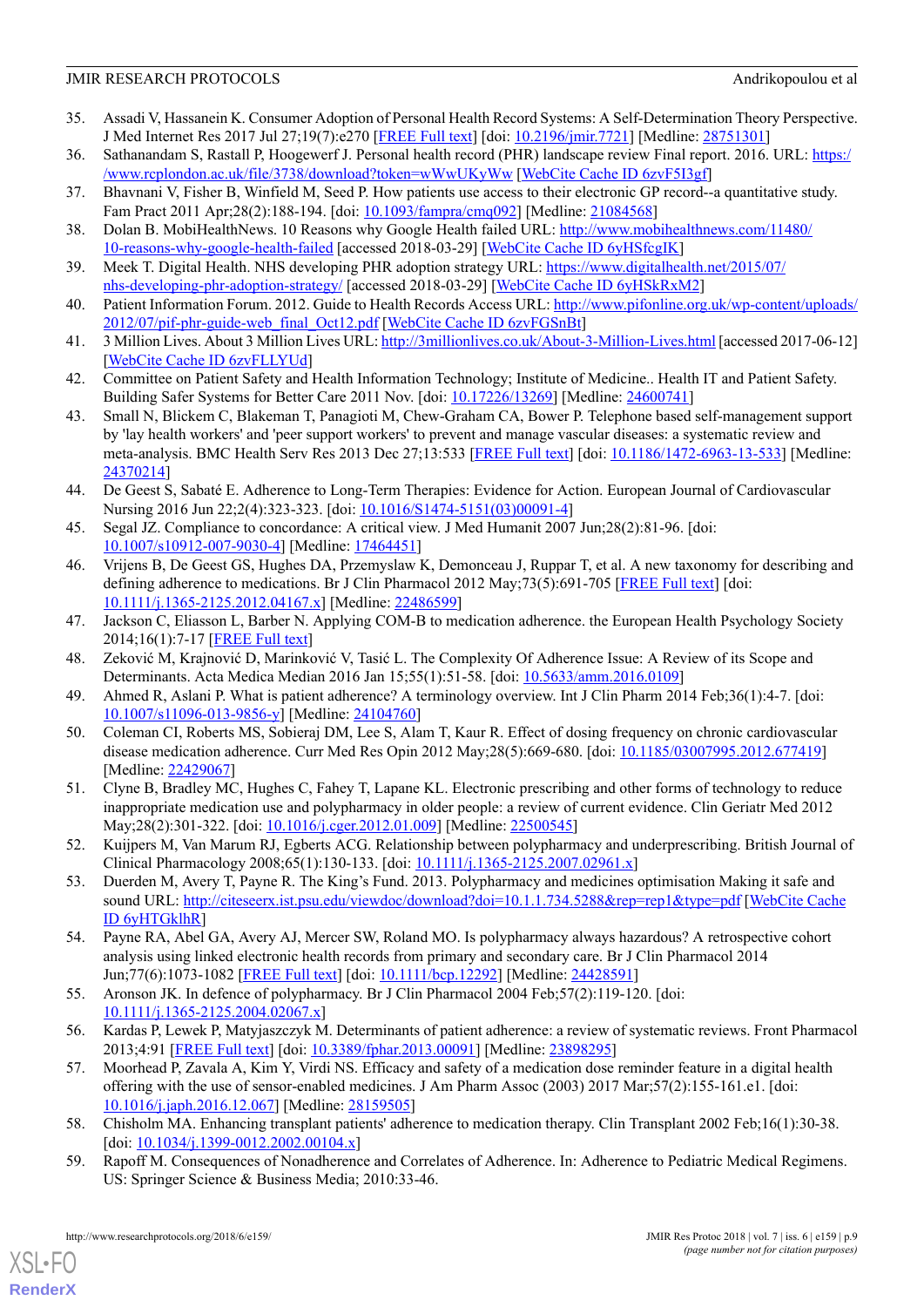# JMIR RESEARCH PROTOCOLS Andrikopoulou et al

- <span id="page-8-0"></span>35. Assadi V, Hassanein K. Consumer Adoption of Personal Health Record Systems: A Self-Determination Theory Perspective. J Med Internet Res 2017 Jul 27;19(7):e270 [[FREE Full text](http://www.jmir.org/2017/7/e270/)] [doi: [10.2196/jmir.7721](http://dx.doi.org/10.2196/jmir.7721)] [Medline: [28751301](http://www.ncbi.nlm.nih.gov/entrez/query.fcgi?cmd=Retrieve&db=PubMed&list_uids=28751301&dopt=Abstract)]
- <span id="page-8-2"></span><span id="page-8-1"></span>36. Sathanandam S, Rastall P, Hoogewerf J. Personal health record (PHR) landscape review Final report. 2016. URL: [https:/](https://www.rcplondon.ac.uk/file/3738/download?token=wWwUKyWw) [/www.rcplondon.ac.uk/file/3738/download?token=wWwUKyWw](https://www.rcplondon.ac.uk/file/3738/download?token=wWwUKyWw) [\[WebCite Cache ID 6zvF5I3gf\]](http://www.webcitation.org/6zvF5I3gf)
- <span id="page-8-3"></span>37. Bhavnani V, Fisher B, Winfield M, Seed P. How patients use access to their electronic GP record--a quantitative study. Fam Pract 2011 Apr;28(2):188-194. [doi: [10.1093/fampra/cmq092\]](http://dx.doi.org/10.1093/fampra/cmq092) [Medline: [21084568\]](http://www.ncbi.nlm.nih.gov/entrez/query.fcgi?cmd=Retrieve&db=PubMed&list_uids=21084568&dopt=Abstract)
- <span id="page-8-4"></span>38. Dolan B. MobiHealthNews. 10 Reasons why Google Health failed URL: [http://www.mobihealthnews.com/11480/](http://www.mobihealthnews.com/11480/10-reasons-why-google-health-failed) [10-reasons-why-google-health-failed](http://www.mobihealthnews.com/11480/10-reasons-why-google-health-failed) [accessed 2018-03-29] [[WebCite Cache ID 6yHSfcgIK\]](http://www.webcitation.org/6yHSfcgIK)
- <span id="page-8-5"></span>39. Meek T. Digital Health. NHS developing PHR adoption strategy URL: [https://www.digitalhealth.net/2015/07/](https://www.digitalhealth.net/2015/07/nhs-developing-phr-adoption-strategy/) [nhs-developing-phr-adoption-strategy/](https://www.digitalhealth.net/2015/07/nhs-developing-phr-adoption-strategy/) [accessed 2018-03-29] [[WebCite Cache ID 6yHSkRxM2\]](http://www.webcitation.org/6yHSkRxM2)
- <span id="page-8-6"></span>40. Patient Information Forum. 2012. Guide to Health Records Access URL: [http://www.pifonline.org.uk/wp-content/uploads/](http://www.pifonline.org.uk/wp-content/uploads/2012/07/pif-phr-guide-web_final_Oct12.pdf) [2012/07/pif-phr-guide-web\\_final\\_Oct12.pdf](http://www.pifonline.org.uk/wp-content/uploads/2012/07/pif-phr-guide-web_final_Oct12.pdf) [[WebCite Cache ID 6zvFGSnBt\]](http://www.webcitation.org/6zvFGSnBt)
- <span id="page-8-7"></span>41. 3 Million Lives. About 3 Million Lives URL:<http://3millionlives.co.uk/About-3-Million-Lives.html> [accessed 2017-06-12] [[WebCite Cache ID 6zvFLLYUd](http://www.webcitation.org/6zvFLLYUd)]
- <span id="page-8-8"></span>42. Committee on Patient Safety and Health Information Technology; Institute of Medicine.. Health IT and Patient Safety. Building Safer Systems for Better Care 2011 Nov. [doi: [10.17226/13269](http://dx.doi.org/10.17226/13269)] [Medline: [24600741\]](http://www.ncbi.nlm.nih.gov/entrez/query.fcgi?cmd=Retrieve&db=PubMed&list_uids=24600741&dopt=Abstract)
- <span id="page-8-9"></span>43. Small N, Blickem C, Blakeman T, Panagioti M, Chew-Graham CA, Bower P. Telephone based self-management support by 'lay health workers' and 'peer support workers' to prevent and manage vascular diseases: a systematic review and meta-analysis. BMC Health Serv Res 2013 Dec 27;13:533 [\[FREE Full text](https://bmchealthservres.biomedcentral.com/articles/10.1186/1472-6963-13-533)] [doi: [10.1186/1472-6963-13-533\]](http://dx.doi.org/10.1186/1472-6963-13-533) [Medline: [24370214](http://www.ncbi.nlm.nih.gov/entrez/query.fcgi?cmd=Retrieve&db=PubMed&list_uids=24370214&dopt=Abstract)]
- <span id="page-8-10"></span>44. De Geest S, Sabaté E. Adherence to Long-Term Therapies: Evidence for Action. European Journal of Cardiovascular Nursing 2016 Jun 22;2(4):323-323. [doi: [10.1016/S1474-5151\(03\)00091-4](http://dx.doi.org/10.1016/S1474-5151(03)00091-4)]
- <span id="page-8-11"></span>45. Segal JZ. Compliance to concordance: A critical view. J Med Humanit 2007 Jun;28(2):81-96. [doi: [10.1007/s10912-007-9030-4\]](http://dx.doi.org/10.1007/s10912-007-9030-4) [Medline: [17464451](http://www.ncbi.nlm.nih.gov/entrez/query.fcgi?cmd=Retrieve&db=PubMed&list_uids=17464451&dopt=Abstract)]
- <span id="page-8-12"></span>46. Vrijens B, De Geest GS, Hughes DA, Przemyslaw K, Demonceau J, Ruppar T, et al. A new taxonomy for describing and defining adherence to medications. Br J Clin Pharmacol 2012 May;73(5):691-705 [[FREE Full text](http://dx.doi.org/10.1111/j.1365-2125.2012.04167.x)] [doi: [10.1111/j.1365-2125.2012.04167.x\]](http://dx.doi.org/10.1111/j.1365-2125.2012.04167.x) [Medline: [22486599](http://www.ncbi.nlm.nih.gov/entrez/query.fcgi?cmd=Retrieve&db=PubMed&list_uids=22486599&dopt=Abstract)]
- <span id="page-8-14"></span><span id="page-8-13"></span>47. Jackson C, Eliasson L, Barber N. Applying COM-B to medication adherence. the European Health Psychology Society 2014;16(1):7-17 [[FREE Full text](https://www.ehps.net/ehp/index.php/contents/article/download/ehp.v16.i1.p7/1072)]
- <span id="page-8-15"></span>48. Zeković M, Krajnović D, Marinković V, Tasić L. The Complexity Of Adherence Issue: A Review of its Scope and Determinants. Acta Medica Median 2016 Jan 15;55(1):51-58. [doi: [10.5633/amm.2016.0109\]](http://dx.doi.org/10.5633/amm.2016.0109)
- <span id="page-8-16"></span>49. Ahmed R, Aslani P. What is patient adherence? A terminology overview. Int J Clin Pharm 2014 Feb;36(1):4-7. [doi: [10.1007/s11096-013-9856-y](http://dx.doi.org/10.1007/s11096-013-9856-y)] [Medline: [24104760](http://www.ncbi.nlm.nih.gov/entrez/query.fcgi?cmd=Retrieve&db=PubMed&list_uids=24104760&dopt=Abstract)]
- <span id="page-8-17"></span>50. Coleman CI, Roberts MS, Sobieraj DM, Lee S, Alam T, Kaur R. Effect of dosing frequency on chronic cardiovascular disease medication adherence. Curr Med Res Opin 2012 May;28(5):669-680. [doi: [10.1185/03007995.2012.677419](http://dx.doi.org/10.1185/03007995.2012.677419)] [Medline: [22429067](http://www.ncbi.nlm.nih.gov/entrez/query.fcgi?cmd=Retrieve&db=PubMed&list_uids=22429067&dopt=Abstract)]
- 51. Clyne B, Bradley MC, Hughes C, Fahey T, Lapane KL. Electronic prescribing and other forms of technology to reduce inappropriate medication use and polypharmacy in older people: a review of current evidence. Clin Geriatr Med 2012 May;28(2):301-322. [doi: [10.1016/j.cger.2012.01.009](http://dx.doi.org/10.1016/j.cger.2012.01.009)] [Medline: [22500545](http://www.ncbi.nlm.nih.gov/entrez/query.fcgi?cmd=Retrieve&db=PubMed&list_uids=22500545&dopt=Abstract)]
- <span id="page-8-18"></span>52. Kuijpers M, Van Marum RJ, Egberts ACG. Relationship between polypharmacy and underprescribing. British Journal of Clinical Pharmacology 2008;65(1):130-133. [doi: [10.1111/j.1365-2125.2007.02961.x\]](http://dx.doi.org/10.1111/j.1365-2125.2007.02961.x)
- <span id="page-8-19"></span>53. Duerden M, Avery T, Payne R. The King's Fund. 2013. Polypharmacy and medicines optimisation Making it safe and sound URL:<http://citeseerx.ist.psu.edu/viewdoc/download?doi=10.1.1.734.5288&rep=rep1&type=pdf> [\[WebCite Cache](http://www.webcitation.org/6yHTGklhR) [ID 6yHTGklhR\]](http://www.webcitation.org/6yHTGklhR)
- <span id="page-8-23"></span><span id="page-8-20"></span>54. Payne RA, Abel GA, Avery AJ, Mercer SW, Roland MO. Is polypharmacy always hazardous? A retrospective cohort analysis using linked electronic health records from primary and secondary care. Br J Clin Pharmacol 2014 Jun;77(6):1073-1082 [[FREE Full text](https://dx.doi.org/10.1111/bcp.12292)] [doi: [10.1111/bcp.12292](http://dx.doi.org/10.1111/bcp.12292)] [Medline: [24428591](http://www.ncbi.nlm.nih.gov/entrez/query.fcgi?cmd=Retrieve&db=PubMed&list_uids=24428591&dopt=Abstract)]
- 55. Aronson JK. In defence of polypharmacy. Br J Clin Pharmacol 2004 Feb;57(2):119-120. [doi: [10.1111/j.1365-2125.2004.02067.x\]](http://dx.doi.org/10.1111/j.1365-2125.2004.02067.x)
- <span id="page-8-22"></span><span id="page-8-21"></span>56. Kardas P, Lewek P, Matyjaszczyk M. Determinants of patient adherence: a review of systematic reviews. Front Pharmacol 2013;4:91 [[FREE Full text](https://dx.doi.org/10.3389/fphar.2013.00091)] [doi: [10.3389/fphar.2013.00091](http://dx.doi.org/10.3389/fphar.2013.00091)] [Medline: [23898295](http://www.ncbi.nlm.nih.gov/entrez/query.fcgi?cmd=Retrieve&db=PubMed&list_uids=23898295&dopt=Abstract)]
- 57. Moorhead P, Zavala A, Kim Y, Virdi NS. Efficacy and safety of a medication dose reminder feature in a digital health offering with the use of sensor-enabled medicines. J Am Pharm Assoc (2003) 2017 Mar;57(2):155-161.e1. [doi: [10.1016/j.japh.2016.12.067\]](http://dx.doi.org/10.1016/j.japh.2016.12.067) [Medline: [28159505](http://www.ncbi.nlm.nih.gov/entrez/query.fcgi?cmd=Retrieve&db=PubMed&list_uids=28159505&dopt=Abstract)]
- 58. Chisholm MA. Enhancing transplant patients' adherence to medication therapy. Clin Transplant 2002 Feb;16(1):30-38. [doi:  $10.1034/j.1399 - 0012.2002.00104.x$ ]
- 59. Rapoff M. Consequences of Nonadherence and Correlates of Adherence. In: Adherence to Pediatric Medical Regimens. US: Springer Science & Business Media; 2010:33-46.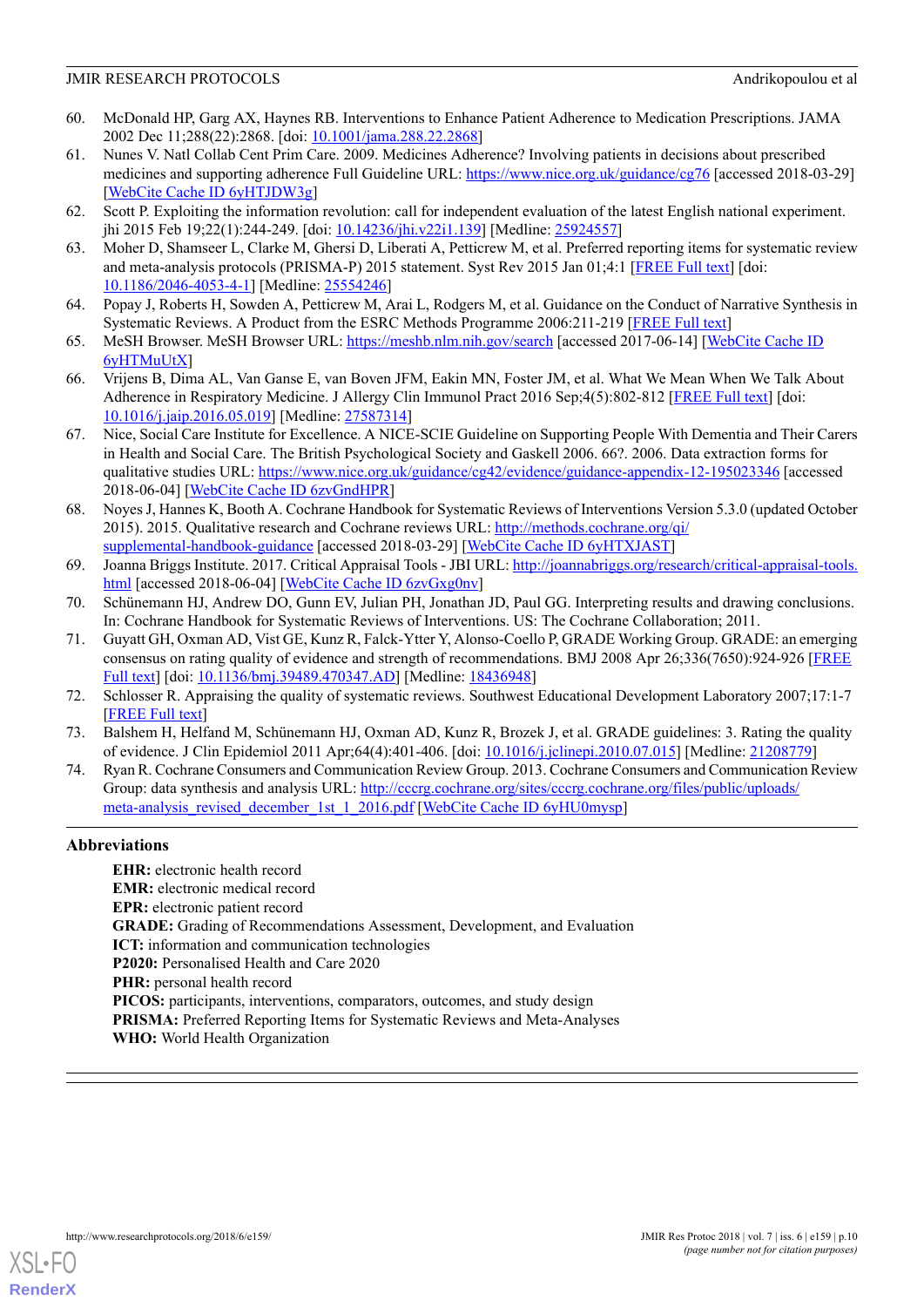- <span id="page-9-0"></span>60. McDonald HP, Garg AX, Haynes RB. Interventions to Enhance Patient Adherence to Medication Prescriptions. JAMA 2002 Dec 11;288(22):2868. [doi: [10.1001/jama.288.22.2868\]](http://dx.doi.org/10.1001/jama.288.22.2868)
- <span id="page-9-1"></span>61. Nunes V. Natl Collab Cent Prim Care. 2009. Medicines Adherence? Involving patients in decisions about prescribed medicines and supporting adherence Full Guideline URL:<https://www.nice.org.uk/guidance/cg76> [accessed 2018-03-29] [[WebCite Cache ID 6yHTJDW3g](http://www.webcitation.org/6yHTJDW3g)]
- <span id="page-9-3"></span><span id="page-9-2"></span>62. Scott P. Exploiting the information revolution: call for independent evaluation of the latest English national experiment. jhi 2015 Feb 19;22(1):244-249. [doi: [10.14236/jhi.v22i1.139](http://dx.doi.org/10.14236/jhi.v22i1.139)] [Medline: [25924557\]](http://www.ncbi.nlm.nih.gov/entrez/query.fcgi?cmd=Retrieve&db=PubMed&list_uids=25924557&dopt=Abstract)
- <span id="page-9-4"></span>63. Moher D, Shamseer L, Clarke M, Ghersi D, Liberati A, Petticrew M, et al. Preferred reporting items for systematic review and meta-analysis protocols (PRISMA-P) 2015 statement. Syst Rev 2015 Jan 01;4:1 [[FREE Full text](https://systematicreviewsjournal.biomedcentral.com/articles/10.1186/2046-4053-4-1)] [doi: [10.1186/2046-4053-4-1](http://dx.doi.org/10.1186/2046-4053-4-1)] [Medline: [25554246](http://www.ncbi.nlm.nih.gov/entrez/query.fcgi?cmd=Retrieve&db=PubMed&list_uids=25554246&dopt=Abstract)]
- <span id="page-9-5"></span>64. Popay J, Roberts H, Sowden A, Petticrew M, Arai L, Rodgers M, et al. Guidance on the Conduct of Narrative Synthesis in Systematic Reviews. A Product from the ESRC Methods Programme 2006:211-219 [[FREE Full text](http://citeseerx.ist.psu.edu/viewdoc/download?doi=10.1.1.178.3100&rep=rep1&type=pdf)]
- <span id="page-9-6"></span>65. MeSH Browser. MeSH Browser URL: <https://meshb.nlm.nih.gov/search> [accessed 2017-06-14] [[WebCite Cache ID](http://www.webcitation.org/6yHTMuUtX) [6yHTMuUtX\]](http://www.webcitation.org/6yHTMuUtX)
- <span id="page-9-7"></span>66. Vrijens B, Dima AL, Van Ganse E, van Boven JFM, Eakin MN, Foster JM, et al. What We Mean When We Talk About Adherence in Respiratory Medicine. J Allergy Clin Immunol Pract 2016 Sep;4(5):802-812 [\[FREE Full text\]](http://linkinghub.elsevier.com/retrieve/pii/S2213-2198(16)30158-1) [doi: [10.1016/j.jaip.2016.05.019](http://dx.doi.org/10.1016/j.jaip.2016.05.019)] [Medline: [27587314](http://www.ncbi.nlm.nih.gov/entrez/query.fcgi?cmd=Retrieve&db=PubMed&list_uids=27587314&dopt=Abstract)]
- <span id="page-9-8"></span>67. Nice, Social Care Institute for Excellence. A NICE-SCIE Guideline on Supporting People With Dementia and Their Carers in Health and Social Care. The British Psychological Society and Gaskell 2006. 66?. 2006. Data extraction forms for qualitative studies URL: <https://www.nice.org.uk/guidance/cg42/evidence/guidance-appendix-12-195023346> [accessed 2018-06-04] [\[WebCite Cache ID 6zvGndHPR](http://www.webcitation.org/6zvGndHPR)]
- <span id="page-9-9"></span>68. Noyes J, Hannes K, Booth A. Cochrane Handbook for Systematic Reviews of Interventions Version 5.3.0 (updated October 2015). 2015. Qualitative research and Cochrane reviews URL: [http://methods.cochrane.org/qi/](http://methods.cochrane.org/qi/supplemental-handbook-guidance) [supplemental-handbook-guidance](http://methods.cochrane.org/qi/supplemental-handbook-guidance) [accessed 2018-03-29] [\[WebCite Cache ID 6yHTXJAST](http://www.webcitation.org/6yHTXJAST)]
- <span id="page-9-11"></span><span id="page-9-10"></span>69. Joanna Briggs Institute. 2017. Critical Appraisal Tools - JBI URL: [http://joannabriggs.org/research/critical-appraisal-tools.](http://joannabriggs.org/research/critical-appraisal-tools.html) [html](http://joannabriggs.org/research/critical-appraisal-tools.html) [accessed 2018-06-04] [[WebCite Cache ID 6zvGxg0nv](http://www.webcitation.org/6zvGxg0nv)]
- 70. Schünemann HJ, Andrew DO, Gunn EV, Julian PH, Jonathan JD, Paul GG. Interpreting results and drawing conclusions. In: Cochrane Handbook for Systematic Reviews of Interventions. US: The Cochrane Collaboration; 2011.
- <span id="page-9-13"></span><span id="page-9-12"></span>71. Guyatt GH, Oxman AD, Vist GE, Kunz R, Falck-Ytter Y, Alonso-Coello P, GRADE Working Group. GRADE: an emerging consensus on rating quality of evidence and strength of recommendations. BMJ 2008 Apr 26;336(7650):924-926 [\[FREE](http://europepmc.org/abstract/MED/18436948) [Full text](http://europepmc.org/abstract/MED/18436948)] [doi: [10.1136/bmj.39489.470347.AD\]](http://dx.doi.org/10.1136/bmj.39489.470347.AD) [Medline: [18436948](http://www.ncbi.nlm.nih.gov/entrez/query.fcgi?cmd=Retrieve&db=PubMed&list_uids=18436948&dopt=Abstract)]
- <span id="page-9-14"></span>72. Schlosser R. Appraising the quality of systematic reviews. Southwest Educational Development Laboratory 2007;17:1-7 [[FREE Full text](http://ktdrr.org/ktlibrary/articles_pubs/ncddrwork/focus/focus17/Focus17.pdf)]
- 73. Balshem H, Helfand M, Schünemann HJ, Oxman AD, Kunz R, Brozek J, et al. GRADE guidelines: 3. Rating the quality of evidence. J Clin Epidemiol 2011 Apr;64(4):401-406. [doi: [10.1016/j.jclinepi.2010.07.015\]](http://dx.doi.org/10.1016/j.jclinepi.2010.07.015) [Medline: [21208779](http://www.ncbi.nlm.nih.gov/entrez/query.fcgi?cmd=Retrieve&db=PubMed&list_uids=21208779&dopt=Abstract)]
- 74. Ryan R. Cochrane Consumers and Communication Review Group. 2013. Cochrane Consumers and Communication Review Group: data synthesis and analysis URL: [http://cccrg.cochrane.org/sites/cccrg.cochrane.org/files/public/uploads/](http://cccrg.cochrane.org/sites/cccrg.cochrane.org/files/public/uploads/meta-analysis_revised_december_1st_1_2016.pdf) [meta-analysis\\_revised\\_december\\_1st\\_1\\_2016.pdf](http://cccrg.cochrane.org/sites/cccrg.cochrane.org/files/public/uploads/meta-analysis_revised_december_1st_1_2016.pdf) [\[WebCite Cache ID 6yHU0mysp](http://www.webcitation.org/6yHU0mysp)]

# **Abbreviations**

**EHR:** electronic health record **EMR:** electronic medical record **EPR:** electronic patient record **GRADE:** Grading of Recommendations Assessment, Development, and Evaluation **ICT:** information and communication technologies **P2020:** Personalised Health and Care 2020 **PHR:** personal health record **PICOS:** participants, interventions, comparators, outcomes, and study design **PRISMA:** Preferred Reporting Items for Systematic Reviews and Meta-Analyses **WHO:** World Health Organization